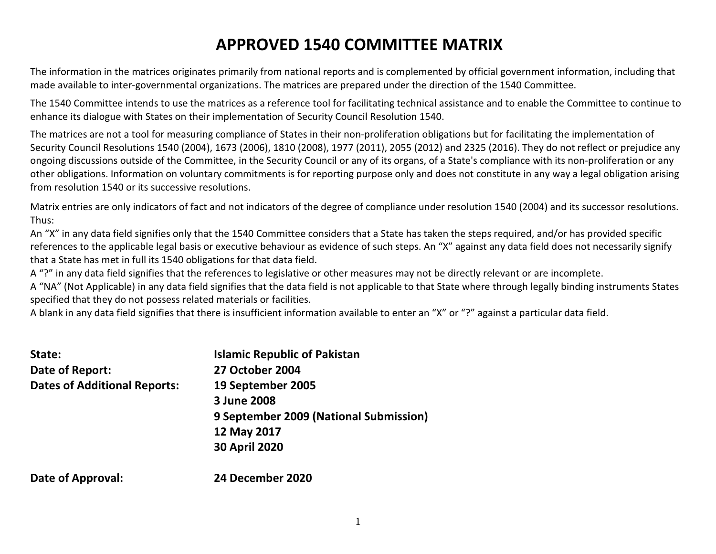# APPROVED 1540 COMMITTEE MATRIX

The information in the matrices originates primarily from national reports and is complemented by official government information, including that made available to inter-governmental organizations. The matrices are prepared under the direction of the 1540 Committee.

The 1540 Committee intends to use the matrices as a reference tool for facilitating technical assistance and to enable the Committee to continue to enhance its dialogue with States on their implementation of Security Council Resolution 1540.

The matrices are not a tool for measuring compliance of States in their non-proliferation obligations but for facilitating the implementation of Security Council Resolutions 1540 (2004), 1673 (2006), 1810 (2008), 1977 (2011), 2055 (2012) and 2325 (2016). They do not reflect or prejudice any ongoing discussions outside of the Committee, in the Security Council or any of its organs, of a State's compliance with its non-proliferation or any other obligations. Information on voluntary commitments is for reporting purpose only and does not constitute in any way a legal obligation arising from resolution 1540 or its successive resolutions.

Matrix entries are only indicators of fact and not indicators of the degree of compliance under resolution 1540 (2004) and its successor resolutions. Thus:

An "X" in any data field signifies only that the 1540 Committee considers that a State has taken the steps required, and/or has provided specific references to the applicable legal basis or executive behaviour as evidence of such steps. An "X" against any data field does not necessarily signify that a State has met in full its 1540 obligations for that data field.

A "?" in any data field signifies that the references to legislative or other measures may not be directly relevant or are incomplete.

A "NA" (Not Applicable) in any data field signifies that the data field is not applicable to that State where through legally binding instruments States specified that they do not possess related materials or facilities.

A blank in any data field signifies that there is insufficient information available to enter an "X" or "?" against a particular data field.

| State:                              | <b>Islamic Republic of Pakistan</b>    |
|-------------------------------------|----------------------------------------|
| Date of Report:                     | <b>27 October 2004</b>                 |
| <b>Dates of Additional Reports:</b> | 19 September 2005                      |
|                                     | 3 June 2008                            |
|                                     | 9 September 2009 (National Submission) |
|                                     | 12 May 2017                            |
|                                     | <b>30 April 2020</b>                   |
| <b>Date of Approval:</b>            | 24 December 2020                       |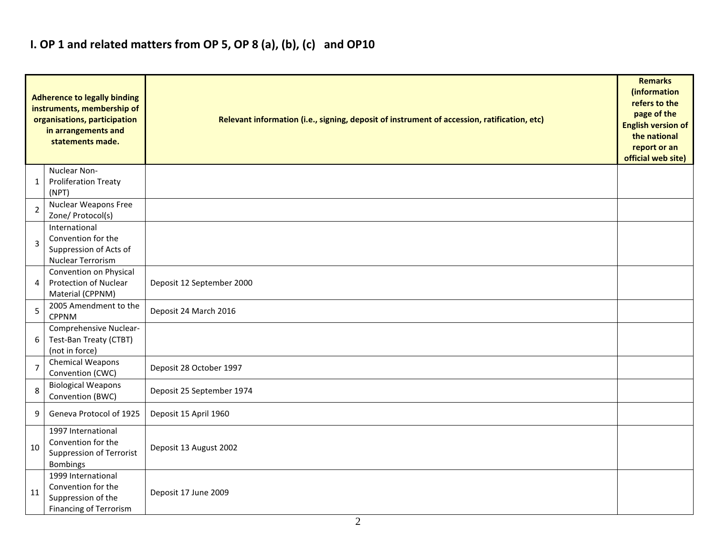#### I. OP 1 and related matters from OP 5, OP 8 (a), (b), (c) and OP10

|                | <b>Adherence to legally binding</b><br>instruments, membership of<br>organisations, participation<br>in arrangements and<br>statements made. | Relevant information (i.e., signing, deposit of instrument of accession, ratification, etc)<br><b>English version of</b><br>official web site) |  |  |  |  |  |  |  |
|----------------|----------------------------------------------------------------------------------------------------------------------------------------------|------------------------------------------------------------------------------------------------------------------------------------------------|--|--|--|--|--|--|--|
| 1              | Nuclear Non-<br><b>Proliferation Treaty</b><br>(NPT)                                                                                         |                                                                                                                                                |  |  |  |  |  |  |  |
| $\overline{2}$ | <b>Nuclear Weapons Free</b><br>Zone/ Protocol(s)                                                                                             |                                                                                                                                                |  |  |  |  |  |  |  |
| 3              | International<br>Convention for the<br>Suppression of Acts of<br><b>Nuclear Terrorism</b>                                                    |                                                                                                                                                |  |  |  |  |  |  |  |
| 4              | Convention on Physical<br><b>Protection of Nuclear</b><br>Material (CPPNM)                                                                   | Deposit 12 September 2000                                                                                                                      |  |  |  |  |  |  |  |
| 5              | 2005 Amendment to the<br><b>CPPNM</b>                                                                                                        | Deposit 24 March 2016                                                                                                                          |  |  |  |  |  |  |  |
| 6              | Comprehensive Nuclear-<br>Test-Ban Treaty (CTBT)<br>(not in force)                                                                           |                                                                                                                                                |  |  |  |  |  |  |  |
| $\overline{7}$ | <b>Chemical Weapons</b><br>Convention (CWC)                                                                                                  | Deposit 28 October 1997                                                                                                                        |  |  |  |  |  |  |  |
| 8              | <b>Biological Weapons</b><br>Convention (BWC)                                                                                                | Deposit 25 September 1974                                                                                                                      |  |  |  |  |  |  |  |
| 9              | Geneva Protocol of 1925                                                                                                                      | Deposit 15 April 1960                                                                                                                          |  |  |  |  |  |  |  |
| 10             | 1997 International<br>Convention for the<br><b>Suppression of Terrorist</b><br><b>Bombings</b>                                               | Deposit 13 August 2002                                                                                                                         |  |  |  |  |  |  |  |
| 11             | 1999 International<br>Convention for the<br>Suppression of the<br><b>Financing of Terrorism</b>                                              | Deposit 17 June 2009                                                                                                                           |  |  |  |  |  |  |  |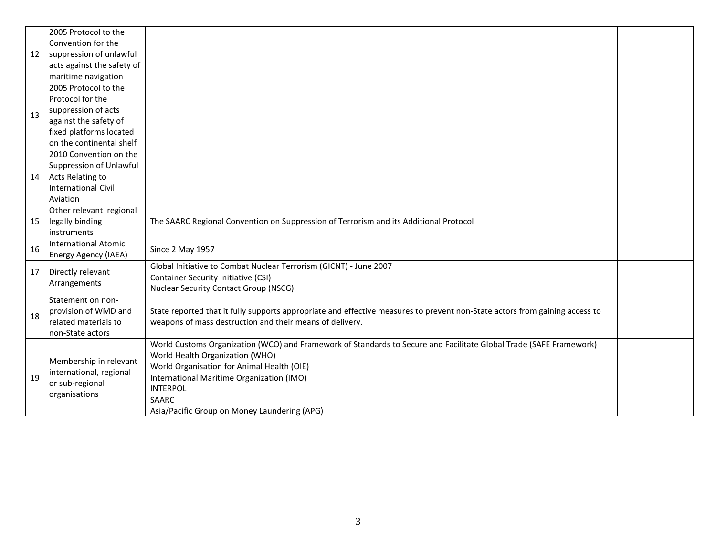|    | 2005 Protocol to the        |                                                                                                                             |  |  |  |  |  |  |  |
|----|-----------------------------|-----------------------------------------------------------------------------------------------------------------------------|--|--|--|--|--|--|--|
|    | Convention for the          |                                                                                                                             |  |  |  |  |  |  |  |
| 12 | suppression of unlawful     |                                                                                                                             |  |  |  |  |  |  |  |
|    | acts against the safety of  |                                                                                                                             |  |  |  |  |  |  |  |
|    | maritime navigation         |                                                                                                                             |  |  |  |  |  |  |  |
|    | 2005 Protocol to the        |                                                                                                                             |  |  |  |  |  |  |  |
|    | Protocol for the            |                                                                                                                             |  |  |  |  |  |  |  |
| 13 | suppression of acts         |                                                                                                                             |  |  |  |  |  |  |  |
|    | against the safety of       |                                                                                                                             |  |  |  |  |  |  |  |
|    | fixed platforms located     |                                                                                                                             |  |  |  |  |  |  |  |
|    | on the continental shelf    |                                                                                                                             |  |  |  |  |  |  |  |
|    | 2010 Convention on the      |                                                                                                                             |  |  |  |  |  |  |  |
|    | Suppression of Unlawful     |                                                                                                                             |  |  |  |  |  |  |  |
| 14 | Acts Relating to            |                                                                                                                             |  |  |  |  |  |  |  |
|    | <b>International Civil</b>  |                                                                                                                             |  |  |  |  |  |  |  |
|    | Aviation                    |                                                                                                                             |  |  |  |  |  |  |  |
|    | Other relevant regional     |                                                                                                                             |  |  |  |  |  |  |  |
| 15 | legally binding             | The SAARC Regional Convention on Suppression of Terrorism and its Additional Protocol                                       |  |  |  |  |  |  |  |
|    | instruments                 |                                                                                                                             |  |  |  |  |  |  |  |
| 16 | <b>International Atomic</b> | Since 2 May 1957                                                                                                            |  |  |  |  |  |  |  |
|    | <b>Energy Agency (IAEA)</b> |                                                                                                                             |  |  |  |  |  |  |  |
| 17 | Directly relevant           | Global Initiative to Combat Nuclear Terrorism (GICNT) - June 2007                                                           |  |  |  |  |  |  |  |
|    | Arrangements                | <b>Container Security Initiative (CSI)</b>                                                                                  |  |  |  |  |  |  |  |
|    |                             | <b>Nuclear Security Contact Group (NSCG)</b>                                                                                |  |  |  |  |  |  |  |
|    | Statement on non-           |                                                                                                                             |  |  |  |  |  |  |  |
| 18 | provision of WMD and        | State reported that it fully supports appropriate and effective measures to prevent non-State actors from gaining access to |  |  |  |  |  |  |  |
|    | related materials to        | weapons of mass destruction and their means of delivery.                                                                    |  |  |  |  |  |  |  |
|    | non-State actors            |                                                                                                                             |  |  |  |  |  |  |  |
|    |                             | World Customs Organization (WCO) and Framework of Standards to Secure and Facilitate Global Trade (SAFE Framework)          |  |  |  |  |  |  |  |
|    | Membership in relevant      | World Health Organization (WHO)                                                                                             |  |  |  |  |  |  |  |
|    | international, regional     | World Organisation for Animal Health (OIE)                                                                                  |  |  |  |  |  |  |  |
| 19 | or sub-regional             | International Maritime Organization (IMO)                                                                                   |  |  |  |  |  |  |  |
|    | organisations               | <b>INTERPOL</b>                                                                                                             |  |  |  |  |  |  |  |
|    |                             | <b>SAARC</b>                                                                                                                |  |  |  |  |  |  |  |
|    |                             | Asia/Pacific Group on Money Laundering (APG)                                                                                |  |  |  |  |  |  |  |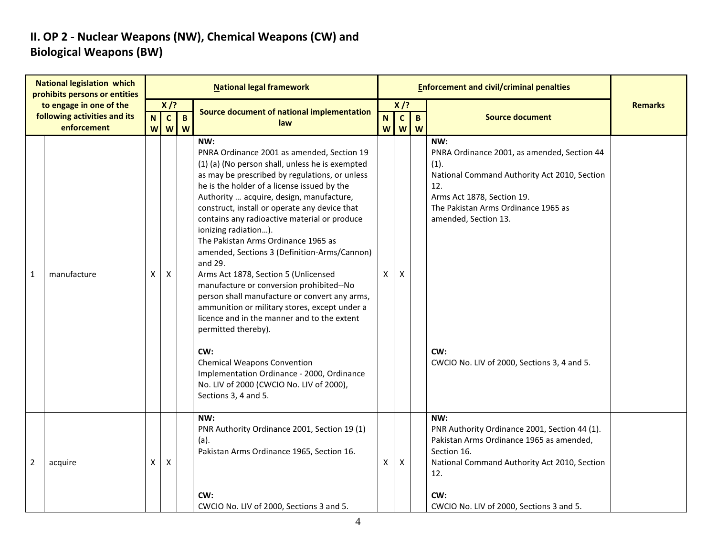### II. OP 2 - Nuclear Weapons (NW), Chemical Weapons (CW) and Biological Weapons (BW)

| <b>National legislation which</b><br>prohibits persons or entities |                                                         |   |                        |              | <b>National legal framework</b>                                                                                                                                                                                                                                                                                                                                                                                                                                                                                                                                                                                                                                                                                                                                                                                                                                                                         |          |                           |              | <b>Enforcement and civil/criminal penalties</b>                                                                                                                                                                                                                      |                |
|--------------------------------------------------------------------|---------------------------------------------------------|---|------------------------|--------------|---------------------------------------------------------------------------------------------------------------------------------------------------------------------------------------------------------------------------------------------------------------------------------------------------------------------------------------------------------------------------------------------------------------------------------------------------------------------------------------------------------------------------------------------------------------------------------------------------------------------------------------------------------------------------------------------------------------------------------------------------------------------------------------------------------------------------------------------------------------------------------------------------------|----------|---------------------------|--------------|----------------------------------------------------------------------------------------------------------------------------------------------------------------------------------------------------------------------------------------------------------------------|----------------|
|                                                                    | to engage in one of the<br>following activities and its | N | $X$ /?<br>$\mathbf{c}$ | $\mathbf{B}$ | Source document of national implementation                                                                                                                                                                                                                                                                                                                                                                                                                                                                                                                                                                                                                                                                                                                                                                                                                                                              | N.       | $X$ /?<br>$\mathbf{C}$    | $\mathbf{B}$ | <b>Source document</b>                                                                                                                                                                                                                                               | <b>Remarks</b> |
|                                                                    | enforcement                                             |   | <b>W</b> W             | W            | law                                                                                                                                                                                                                                                                                                                                                                                                                                                                                                                                                                                                                                                                                                                                                                                                                                                                                                     | <b>W</b> |                           | <b>W</b> W   |                                                                                                                                                                                                                                                                      |                |
| $\mathbf{1}$                                                       | manufacture                                             | X | X                      |              | NW:<br>PNRA Ordinance 2001 as amended, Section 19<br>(1) (a) (No person shall, unless he is exempted<br>as may be prescribed by regulations, or unless<br>he is the holder of a license issued by the<br>Authority  acquire, design, manufacture,<br>construct, install or operate any device that<br>contains any radioactive material or produce<br>ionizing radiation).<br>The Pakistan Arms Ordinance 1965 as<br>amended, Sections 3 (Definition-Arms/Cannon)<br>and 29.<br>Arms Act 1878, Section 5 (Unlicensed<br>manufacture or conversion prohibited--No<br>person shall manufacture or convert any arms,<br>ammunition or military stores, except under a<br>licence and in the manner and to the extent<br>permitted thereby).<br>CW:<br><b>Chemical Weapons Convention</b><br>Implementation Ordinance - 2000, Ordinance<br>No. LIV of 2000 (CWCIO No. LIV of 2000),<br>Sections 3, 4 and 5. | X        | $\boldsymbol{\mathsf{X}}$ |              | NW:<br>PNRA Ordinance 2001, as amended, Section 44<br>(1).<br>National Command Authority Act 2010, Section<br>12.<br>Arms Act 1878, Section 19.<br>The Pakistan Arms Ordinance 1965 as<br>amended, Section 13.<br>CW:<br>CWCIO No. LIV of 2000, Sections 3, 4 and 5. |                |
| $\overline{2}$                                                     | acquire                                                 | X | X                      |              | NW:<br>PNR Authority Ordinance 2001, Section 19 (1)<br>(a).<br>Pakistan Arms Ordinance 1965, Section 16.<br>CW:<br>CWCIO No. LIV of 2000, Sections 3 and 5.                                                                                                                                                                                                                                                                                                                                                                                                                                                                                                                                                                                                                                                                                                                                             | X        | X                         |              | NW:<br>PNR Authority Ordinance 2001, Section 44 (1).<br>Pakistan Arms Ordinance 1965 as amended,<br>Section 16.<br>National Command Authority Act 2010, Section<br>12.<br>CW:<br>CWCIO No. LIV of 2000, Sections 3 and 5.                                            |                |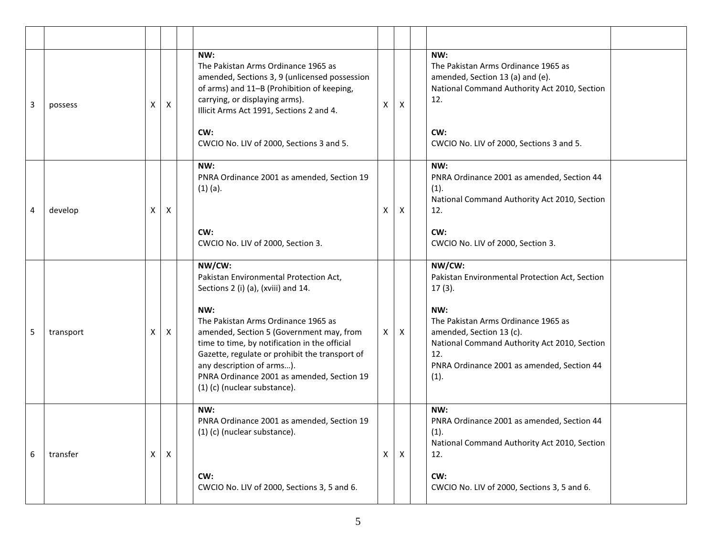| 3 | possess   | х | X | NW:<br>The Pakistan Arms Ordinance 1965 as<br>amended, Sections 3, 9 (unlicensed possession<br>of arms) and 11-B (Prohibition of keeping,<br>carrying, or displaying arms).<br>Illicit Arms Act 1991, Sections 2 and 4.<br>CW:<br>CWCIO No. LIV of 2000, Sections 3 and 5.                                                                                                                      | X                         | X            | NW:<br>The Pakistan Arms Ordinance 1965 as<br>amended, Section 13 (a) and (e).<br>National Command Authority Act 2010, Section<br>12.<br>CW:<br>CWCIO No. LIV of 2000, Sections 3 and 5.                                                                     |
|---|-----------|---|---|-------------------------------------------------------------------------------------------------------------------------------------------------------------------------------------------------------------------------------------------------------------------------------------------------------------------------------------------------------------------------------------------------|---------------------------|--------------|--------------------------------------------------------------------------------------------------------------------------------------------------------------------------------------------------------------------------------------------------------------|
| 4 | develop   | Χ | X | NW:<br>PNRA Ordinance 2001 as amended, Section 19<br>$(1)$ (a).<br>CW:                                                                                                                                                                                                                                                                                                                          | $\boldsymbol{\mathsf{x}}$ | X            | NW:<br>PNRA Ordinance 2001 as amended, Section 44<br>(1).<br>National Command Authority Act 2010, Section<br>12.<br>CW:                                                                                                                                      |
|   |           |   |   | CWCIO No. LIV of 2000, Section 3.                                                                                                                                                                                                                                                                                                                                                               |                           |              | CWCIO No. LIV of 2000, Section 3.                                                                                                                                                                                                                            |
| 5 | transport | х | X | NW/CW:<br>Pakistan Environmental Protection Act,<br>Sections 2 (i) (a), (xviii) and 14.<br>NW:<br>The Pakistan Arms Ordinance 1965 as<br>amended, Section 5 (Government may, from<br>time to time, by notification in the official<br>Gazette, regulate or prohibit the transport of<br>any description of arms).<br>PNRA Ordinance 2001 as amended, Section 19<br>(1) (c) (nuclear substance). | $\mathsf{X}$              | X            | NW/CW:<br>Pakistan Environmental Protection Act, Section<br>$17(3)$ .<br>NW:<br>The Pakistan Arms Ordinance 1965 as<br>amended, Section 13 (c).<br>National Command Authority Act 2010, Section<br>12.<br>PNRA Ordinance 2001 as amended, Section 44<br>(1). |
| 6 | transfer  | Χ | X | NW:<br>PNRA Ordinance 2001 as amended, Section 19<br>(1) (c) (nuclear substance).<br>CW:<br>CWCIO No. LIV of 2000, Sections 3, 5 and 6.                                                                                                                                                                                                                                                         | $\mathsf{X}$              | $\mathsf{X}$ | NW:<br>PNRA Ordinance 2001 as amended, Section 44<br>(1).<br>National Command Authority Act 2010, Section<br>12.<br>CW:<br>CWCIO No. LIV of 2000, Sections 3, 5 and 6.                                                                                       |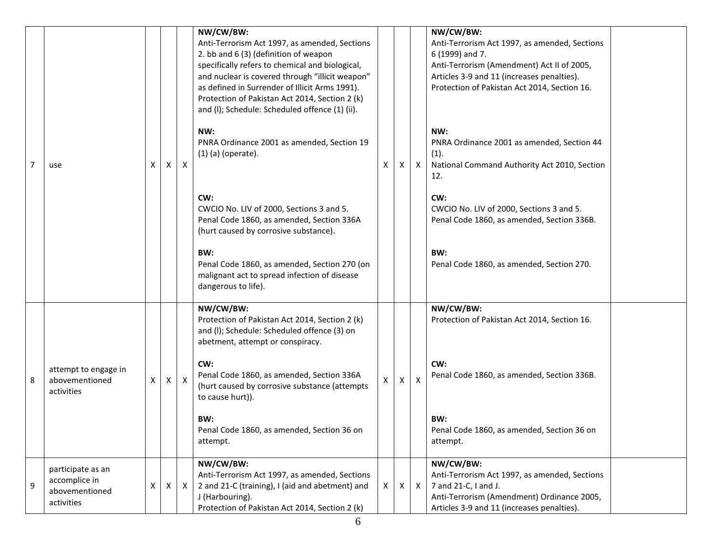|                |                                                                    |   |              |                  | NW/CW/BW:<br>Anti-Terrorism Act 1997, as amended, Sections<br>2. bb and 6 (3) (definition of weapon<br>specifically refers to chemical and biological,<br>and nuclear is covered through "illicit weapon"<br>as defined in Surrender of Illicit Arms 1991).<br>Protection of Pakistan Act 2014, Section 2 (k)<br>and (I); Schedule: Scheduled offence (1) (ii).<br>NW:<br>PNRA Ordinance 2001 as amended, Section 19 |    |              |              | NW/CW/BW:<br>Anti-Terrorism Act 1997, as amended, Sections<br>6 (1999) and 7.<br>Anti-Terrorism (Amendment) Act II of 2005,<br>Articles 3-9 and 11 (increases penalties).<br>Protection of Pakistan Act 2014, Section 16.<br>NW:<br>PNRA Ordinance 2001 as amended, Section 44 |
|----------------|--------------------------------------------------------------------|---|--------------|------------------|----------------------------------------------------------------------------------------------------------------------------------------------------------------------------------------------------------------------------------------------------------------------------------------------------------------------------------------------------------------------------------------------------------------------|----|--------------|--------------|--------------------------------------------------------------------------------------------------------------------------------------------------------------------------------------------------------------------------------------------------------------------------------|
| $\overline{7}$ | use                                                                | X | $\mathsf{X}$ | $\mathsf{X}$     | $(1)$ (a) (operate).                                                                                                                                                                                                                                                                                                                                                                                                 | X  | X            | $\mathsf{X}$ | (1).<br>National Command Authority Act 2010, Section<br>12.                                                                                                                                                                                                                    |
|                |                                                                    |   |              |                  | CW:<br>CWCIO No. LIV of 2000, Sections 3 and 5.<br>Penal Code 1860, as amended, Section 336A<br>(hurt caused by corrosive substance).                                                                                                                                                                                                                                                                                |    |              |              | CW:<br>CWCIO No. LIV of 2000, Sections 3 and 5.<br>Penal Code 1860, as amended, Section 336B.                                                                                                                                                                                  |
|                |                                                                    |   |              |                  | BW:<br>Penal Code 1860, as amended, Section 270 (on<br>malignant act to spread infection of disease<br>dangerous to life).                                                                                                                                                                                                                                                                                           |    |              |              | BW:<br>Penal Code 1860, as amended, Section 270.                                                                                                                                                                                                                               |
|                |                                                                    |   |              |                  | NW/CW/BW:<br>Protection of Pakistan Act 2014, Section 2 (k)<br>and (I); Schedule: Scheduled offence (3) on<br>abetment, attempt or conspiracy.                                                                                                                                                                                                                                                                       |    |              |              | NW/CW/BW:<br>Protection of Pakistan Act 2014, Section 16.                                                                                                                                                                                                                      |
| 8              | attempt to engage in<br>abovementioned<br>activities               | х | $\mathsf{X}$ | $\boldsymbol{X}$ | CW:<br>Penal Code 1860, as amended, Section 336A<br>(hurt caused by corrosive substance (attempts<br>to cause hurt)).                                                                                                                                                                                                                                                                                                |    | X            | $\mathsf{X}$ | CW:<br>Penal Code 1860, as amended, Section 336B.                                                                                                                                                                                                                              |
|                |                                                                    |   |              |                  | BW:<br>Penal Code 1860, as amended, Section 36 on<br>attempt.                                                                                                                                                                                                                                                                                                                                                        |    |              |              | BW:<br>Penal Code 1860, as amended, Section 36 on<br>attempt.                                                                                                                                                                                                                  |
| 9              | participate as an<br>accomplice in<br>abovementioned<br>activities | X | $\mathsf{X}$ | $\mathsf{X}$     | NW/CW/BW:<br>Anti-Terrorism Act 1997, as amended, Sections<br>2 and 21-C (training), I (aid and abetment) and<br>J (Harbouring).<br>Protection of Pakistan Act 2014, Section 2 (k)                                                                                                                                                                                                                                   | x. | $\mathsf{X}$ | $\mathsf{X}$ | NW/CW/BW:<br>Anti-Terrorism Act 1997, as amended, Sections<br>7 and 21-C, I and J.<br>Anti-Terrorism (Amendment) Ordinance 2005,<br>Articles 3-9 and 11 (increases penalties).                                                                                                 |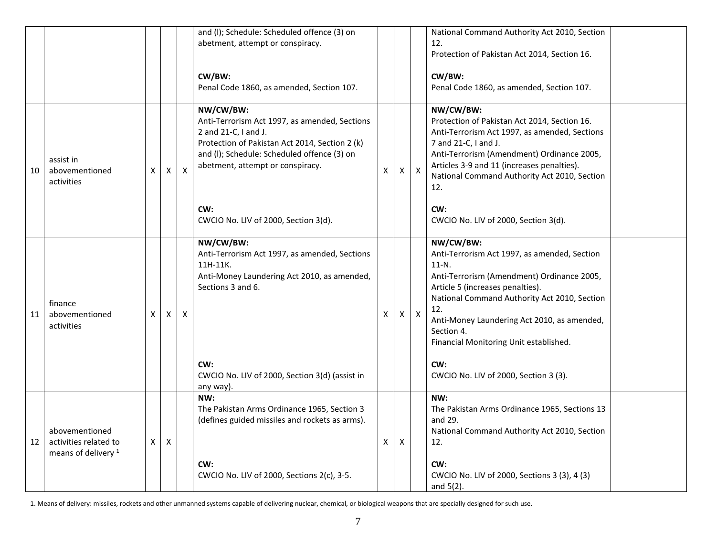|    |                                                                           |                |                |   | and (I); Schedule: Scheduled offence (3) on<br>abetment, attempt or conspiracy.<br>CW/BW:<br>Penal Code 1860, as amended, Section 107.                                                                                         |   |   |                  | National Command Authority Act 2010, Section<br>12.<br>Protection of Pakistan Act 2014, Section 16.<br>CW/BW:<br>Penal Code 1860, as amended, Section 107.                                                                                                                                                                                                            |
|----|---------------------------------------------------------------------------|----------------|----------------|---|--------------------------------------------------------------------------------------------------------------------------------------------------------------------------------------------------------------------------------|---|---|------------------|-----------------------------------------------------------------------------------------------------------------------------------------------------------------------------------------------------------------------------------------------------------------------------------------------------------------------------------------------------------------------|
| 10 | assist in<br>abovementioned<br>activities                                 | X              | X              | X | NW/CW/BW:<br>Anti-Terrorism Act 1997, as amended, Sections<br>2 and 21-C, I and J.<br>Protection of Pakistan Act 2014, Section 2 (k)<br>and (I); Schedule: Scheduled offence (3) on<br>abetment, attempt or conspiracy.<br>CW: | X | Χ | $\pmb{\times}$   | NW/CW/BW:<br>Protection of Pakistan Act 2014, Section 16.<br>Anti-Terrorism Act 1997, as amended, Sections<br>7 and 21-C, I and J.<br>Anti-Terrorism (Amendment) Ordinance 2005,<br>Articles 3-9 and 11 (increases penalties).<br>National Command Authority Act 2010, Section<br>12.<br>CW:                                                                          |
|    |                                                                           |                |                |   | CWCIO No. LIV of 2000, Section 3(d).                                                                                                                                                                                           |   |   |                  | CWCIO No. LIV of 2000, Section 3(d).                                                                                                                                                                                                                                                                                                                                  |
| 11 | finance<br>abovementioned<br>activities                                   | X              | X              | X | NW/CW/BW:<br>Anti-Terrorism Act 1997, as amended, Sections<br>11H-11K.<br>Anti-Money Laundering Act 2010, as amended,<br>Sections 3 and 6.<br>CW:<br>CWCIO No. LIV of 2000, Section 3(d) (assist in                            | X | X | $\boldsymbol{X}$ | NW/CW/BW:<br>Anti-Terrorism Act 1997, as amended, Section<br>$11-N$ .<br>Anti-Terrorism (Amendment) Ordinance 2005,<br>Article 5 (increases penalties).<br>National Command Authority Act 2010, Section<br>12.<br>Anti-Money Laundering Act 2010, as amended,<br>Section 4.<br>Financial Monitoring Unit established.<br>CW:<br>CWCIO No. LIV of 2000, Section 3 (3). |
| 12 | abovementioned<br>activities related to<br>means of delivery <sup>1</sup> | $\mathsf{X}^-$ | $\pmb{\times}$ |   | any way).<br>NW:<br>The Pakistan Arms Ordinance 1965, Section 3<br>(defines guided missiles and rockets as arms).<br>CW:<br>CWCIO No. LIV of 2000, Sections 2(c), 3-5.                                                         | Х | X |                  | NW:<br>The Pakistan Arms Ordinance 1965, Sections 13<br>and 29.<br>National Command Authority Act 2010, Section<br>12.<br>CW:<br>CWCIO No. LIV of 2000, Sections 3 (3), 4 (3)<br>and $5(2)$ .                                                                                                                                                                         |

1. Means of delivery: missiles, rockets and other unmanned systems capable of delivering nuclear, chemical, or biological weapons that are specially designed for such use.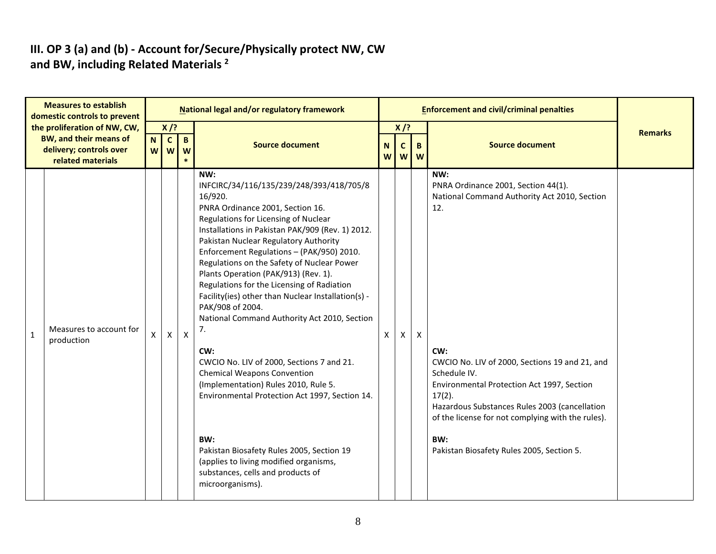## III. OP 3 (a) and (b) - Account for/Secure/Physically protect NW, CW and BW, including Related Materials<sup>2</sup>

| <b>Measures to establish</b><br>domestic controls to prevent                                                  |                                           |                | National legal and/or regulatory framework                                                                                                                                                                                                                                                                                                                                                                                                                                                                                                                                                                                                                                                                                                                                                                                                                                                      |                               |                        |              |                                                                                                                                                                                                                                                                                                                                                                                                 |                |
|---------------------------------------------------------------------------------------------------------------|-------------------------------------------|----------------|-------------------------------------------------------------------------------------------------------------------------------------------------------------------------------------------------------------------------------------------------------------------------------------------------------------------------------------------------------------------------------------------------------------------------------------------------------------------------------------------------------------------------------------------------------------------------------------------------------------------------------------------------------------------------------------------------------------------------------------------------------------------------------------------------------------------------------------------------------------------------------------------------|-------------------------------|------------------------|--------------|-------------------------------------------------------------------------------------------------------------------------------------------------------------------------------------------------------------------------------------------------------------------------------------------------------------------------------------------------------------------------------------------------|----------------|
| the proliferation of NW, CW,<br><b>BW, and their means of</b><br>delivery; controls over<br>related materials | $X$ /?<br>$\mathbf{B}$<br>N C<br>w w<br>W |                | <b>Source document</b>                                                                                                                                                                                                                                                                                                                                                                                                                                                                                                                                                                                                                                                                                                                                                                                                                                                                          | $\mathbf N$<br>W <sub>l</sub> | $X$ /?<br>$\mathsf{C}$ | B<br>ww      | <b>Source document</b>                                                                                                                                                                                                                                                                                                                                                                          | <b>Remarks</b> |
| Measures to account for<br>$\mathbf{1}$<br>production                                                         | X                                         | $\pmb{\times}$ | NW:<br>INFCIRC/34/116/135/239/248/393/418/705/8<br>16/920.<br>PNRA Ordinance 2001, Section 16.<br>Regulations for Licensing of Nuclear<br>Installations in Pakistan PAK/909 (Rev. 1) 2012.<br>Pakistan Nuclear Regulatory Authority<br>Enforcement Regulations - (PAK/950) 2010.<br>Regulations on the Safety of Nuclear Power<br>Plants Operation (PAK/913) (Rev. 1).<br>Regulations for the Licensing of Radiation<br>Facility(ies) other than Nuclear Installation(s) -<br>PAK/908 of 2004.<br>National Command Authority Act 2010, Section<br>7.<br>CW:<br>CWCIO No. LIV of 2000, Sections 7 and 21.<br><b>Chemical Weapons Convention</b><br>(Implementation) Rules 2010, Rule 5.<br>Environmental Protection Act 1997, Section 14.<br>BW:<br>Pakistan Biosafety Rules 2005, Section 19<br>(applies to living modified organisms,<br>substances, cells and products of<br>microorganisms). | $\pmb{\mathsf{X}}$            | X                      | $\mathsf{X}$ | NW:<br>PNRA Ordinance 2001, Section 44(1).<br>National Command Authority Act 2010, Section<br>12.<br>CW:<br>CWCIO No. LIV of 2000, Sections 19 and 21, and<br>Schedule IV.<br>Environmental Protection Act 1997, Section<br>$17(2)$ .<br>Hazardous Substances Rules 2003 (cancellation<br>of the license for not complying with the rules).<br>BW:<br>Pakistan Biosafety Rules 2005, Section 5. |                |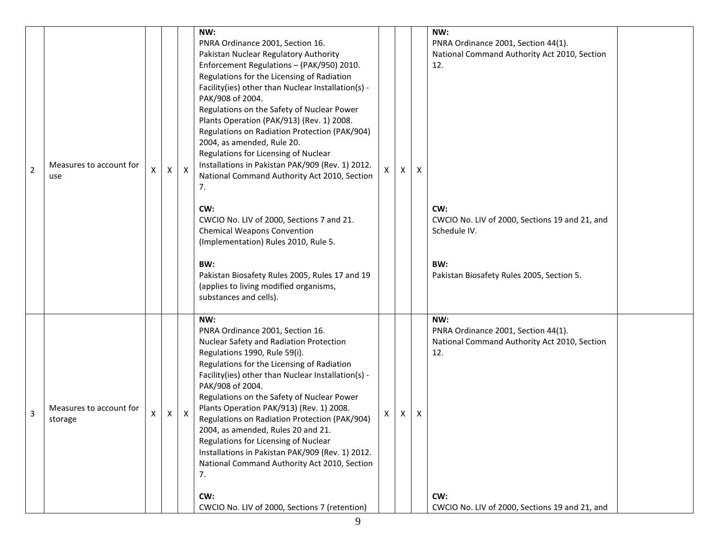|                |                                    |   |   |                  | NW:<br>PNRA Ordinance 2001, Section 16.<br>Pakistan Nuclear Regulatory Authority<br>Enforcement Regulations - (PAK/950) 2010.                                                                                                                                                                                                                                                                                                                                                                                                                                                 |   |   |                           | NW:<br>PNRA Ordinance 2001, Section 44(1).<br>National Command Authority Act 2010, Section<br>12. |  |
|----------------|------------------------------------|---|---|------------------|-------------------------------------------------------------------------------------------------------------------------------------------------------------------------------------------------------------------------------------------------------------------------------------------------------------------------------------------------------------------------------------------------------------------------------------------------------------------------------------------------------------------------------------------------------------------------------|---|---|---------------------------|---------------------------------------------------------------------------------------------------|--|
| $\overline{2}$ | Measures to account for<br>use     | X | Χ | $\mathsf{X}$     | Regulations for the Licensing of Radiation<br>Facility(ies) other than Nuclear Installation(s) -<br>PAK/908 of 2004.<br>Regulations on the Safety of Nuclear Power<br>Plants Operation (PAK/913) (Rev. 1) 2008.<br>Regulations on Radiation Protection (PAK/904)<br>2004, as amended, Rule 20.<br>Regulations for Licensing of Nuclear<br>Installations in Pakistan PAK/909 (Rev. 1) 2012.<br>National Command Authority Act 2010, Section<br>7.                                                                                                                              | X | X | $\mathsf{x}$              |                                                                                                   |  |
|                |                                    |   |   |                  | CW:<br>CWCIO No. LIV of 2000, Sections 7 and 21.<br><b>Chemical Weapons Convention</b><br>(Implementation) Rules 2010, Rule 5.                                                                                                                                                                                                                                                                                                                                                                                                                                                |   |   |                           | CW:<br>CWCIO No. LIV of 2000, Sections 19 and 21, and<br>Schedule IV.                             |  |
|                |                                    |   |   |                  | BW:<br>Pakistan Biosafety Rules 2005, Rules 17 and 19<br>(applies to living modified organisms,<br>substances and cells).                                                                                                                                                                                                                                                                                                                                                                                                                                                     |   |   |                           | BW:<br>Pakistan Biosafety Rules 2005, Section 5.                                                  |  |
| 3              | Measures to account for<br>storage | X | X | $\boldsymbol{X}$ | NW:<br>PNRA Ordinance 2001, Section 16.<br>Nuclear Safety and Radiation Protection<br>Regulations 1990, Rule 59(i).<br>Regulations for the Licensing of Radiation<br>Facility(ies) other than Nuclear Installation(s) -<br>PAK/908 of 2004.<br>Regulations on the Safety of Nuclear Power<br>Plants Operation PAK/913) (Rev. 1) 2008.<br>Regulations on Radiation Protection (PAK/904)<br>2004, as amended, Rules 20 and 21<br>Regulations for Licensing of Nuclear<br>Installations in Pakistan PAK/909 (Rev. 1) 2012.<br>National Command Authority Act 2010, Section<br>7. | X | X | $\boldsymbol{\mathsf{X}}$ | NW:<br>PNRA Ordinance 2001, Section 44(1).<br>National Command Authority Act 2010, Section<br>12. |  |
|                |                                    |   |   |                  | CW:<br>CWCIO No. LIV of 2000, Sections 7 (retention)                                                                                                                                                                                                                                                                                                                                                                                                                                                                                                                          |   |   |                           | CW:<br>CWCIO No. LIV of 2000, Sections 19 and 21, and                                             |  |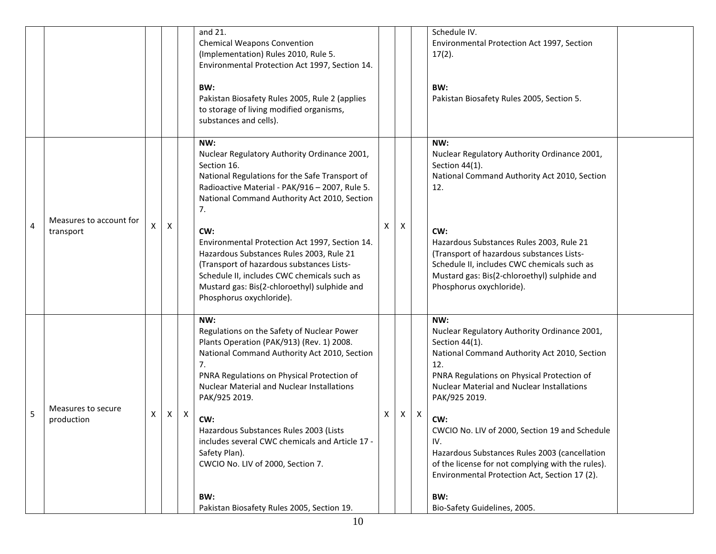|   |                                      |   |                |              | and 21.<br><b>Chemical Weapons Convention</b><br>(Implementation) Rules 2010, Rule 5.<br>Environmental Protection Act 1997, Section 14.<br>BW:<br>Pakistan Biosafety Rules 2005, Rule 2 (applies<br>to storage of living modified organisms,<br>substances and cells).                                                                                                                                                                                                                                    |   |   |                           | Schedule IV.<br>Environmental Protection Act 1997, Section<br>$17(2)$ .<br>BW:<br>Pakistan Biosafety Rules 2005, Section 5.                                                                                                                                                                                                                                                                                                                                                                                    |  |
|---|--------------------------------------|---|----------------|--------------|-----------------------------------------------------------------------------------------------------------------------------------------------------------------------------------------------------------------------------------------------------------------------------------------------------------------------------------------------------------------------------------------------------------------------------------------------------------------------------------------------------------|---|---|---------------------------|----------------------------------------------------------------------------------------------------------------------------------------------------------------------------------------------------------------------------------------------------------------------------------------------------------------------------------------------------------------------------------------------------------------------------------------------------------------------------------------------------------------|--|
| 4 | Measures to account for<br>transport | X | $\pmb{\times}$ |              | NW:<br>Nuclear Regulatory Authority Ordinance 2001,<br>Section 16.<br>National Regulations for the Safe Transport of<br>Radioactive Material - PAK/916 - 2007, Rule 5.<br>National Command Authority Act 2010, Section<br>7.<br>CW:<br>Environmental Protection Act 1997, Section 14.<br>Hazardous Substances Rules 2003, Rule 21<br>(Transport of hazardous substances Lists-<br>Schedule II, includes CWC chemicals such as<br>Mustard gas: Bis(2-chloroethyl) sulphide and<br>Phosphorus oxychloride). | X | X |                           | NW:<br>Nuclear Regulatory Authority Ordinance 2001,<br>Section 44(1).<br>National Command Authority Act 2010, Section<br>12.<br>CW:<br>Hazardous Substances Rules 2003, Rule 21<br>(Transport of hazardous substances Lists-<br>Schedule II, includes CWC chemicals such as<br>Mustard gas: Bis(2-chloroethyl) sulphide and<br>Phosphorus oxychloride).                                                                                                                                                        |  |
| 5 | Measures to secure<br>production     | X | $\mathsf{X}$   | $\mathsf{X}$ | NW:<br>Regulations on the Safety of Nuclear Power<br>Plants Operation (PAK/913) (Rev. 1) 2008.<br>National Command Authority Act 2010, Section<br>7.<br>PNRA Regulations on Physical Protection of<br><b>Nuclear Material and Nuclear Installations</b><br>PAK/925 2019.<br>CW:<br>Hazardous Substances Rules 2003 (Lists<br>includes several CWC chemicals and Article 17 -<br>Safety Plan).<br>CWCIO No. LIV of 2000, Section 7.<br>BW:<br>Pakistan Biosafety Rules 2005, Section 19.                   | X | X | $\boldsymbol{\mathsf{X}}$ | NW:<br>Nuclear Regulatory Authority Ordinance 2001,<br>Section 44(1).<br>National Command Authority Act 2010, Section<br>12.<br>PNRA Regulations on Physical Protection of<br><b>Nuclear Material and Nuclear Installations</b><br>PAK/925 2019.<br>CW:<br>CWCIO No. LIV of 2000, Section 19 and Schedule<br>IV.<br>Hazardous Substances Rules 2003 (cancellation<br>of the license for not complying with the rules).<br>Environmental Protection Act, Section 17 (2).<br>BW:<br>Bio-Safety Guidelines, 2005. |  |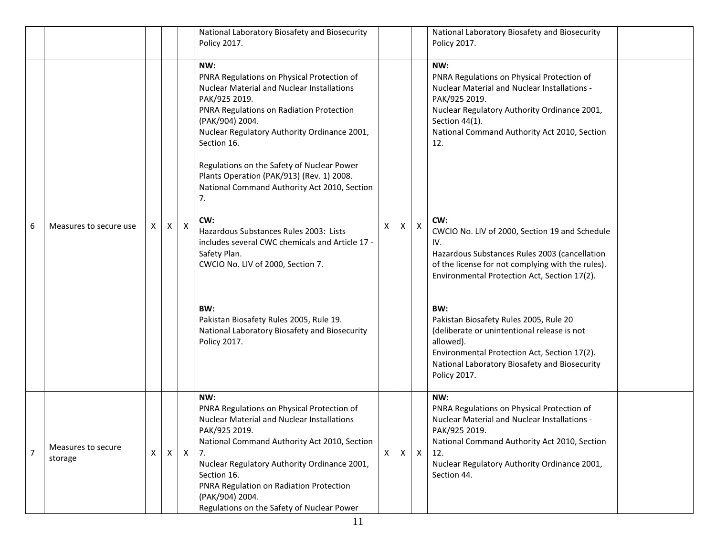|                |                               |   |          |                  | National Laboratory Biosafety and Biosecurity<br>Policy 2017.                                                                                                                                                                                                                                                                                                                                                                                                                                                                                                                                                                                                                      |   |              |                  | National Laboratory Biosafety and Biosecurity<br>Policy 2017.                                                                                                                                                                                                                                                                                                                                                                                                                                                                                                                                                                                                                                   |  |
|----------------|-------------------------------|---|----------|------------------|------------------------------------------------------------------------------------------------------------------------------------------------------------------------------------------------------------------------------------------------------------------------------------------------------------------------------------------------------------------------------------------------------------------------------------------------------------------------------------------------------------------------------------------------------------------------------------------------------------------------------------------------------------------------------------|---|--------------|------------------|-------------------------------------------------------------------------------------------------------------------------------------------------------------------------------------------------------------------------------------------------------------------------------------------------------------------------------------------------------------------------------------------------------------------------------------------------------------------------------------------------------------------------------------------------------------------------------------------------------------------------------------------------------------------------------------------------|--|
| 6              | Measures to secure use        | X | X        | $\boldsymbol{X}$ | NW:<br>PNRA Regulations on Physical Protection of<br><b>Nuclear Material and Nuclear Installations</b><br>PAK/925 2019.<br>PNRA Regulations on Radiation Protection<br>(PAK/904) 2004.<br>Nuclear Regulatory Authority Ordinance 2001,<br>Section 16.<br>Regulations on the Safety of Nuclear Power<br>Plants Operation (PAK/913) (Rev. 1) 2008.<br>National Command Authority Act 2010, Section<br>7.<br>CW:<br>Hazardous Substances Rules 2003: Lists<br>includes several CWC chemicals and Article 17 -<br>Safety Plan.<br>CWCIO No. LIV of 2000, Section 7.<br>BW:<br>Pakistan Biosafety Rules 2005, Rule 19.<br>National Laboratory Biosafety and Biosecurity<br>Policy 2017. | X | X            | $\boldsymbol{X}$ | NW:<br>PNRA Regulations on Physical Protection of<br>Nuclear Material and Nuclear Installations -<br>PAK/925 2019.<br>Nuclear Regulatory Authority Ordinance 2001,<br>Section 44(1).<br>National Command Authority Act 2010, Section<br>12.<br>CW:<br>CWCIO No. LIV of 2000, Section 19 and Schedule<br>IV.<br>Hazardous Substances Rules 2003 (cancellation<br>of the license for not complying with the rules).<br>Environmental Protection Act, Section 17(2).<br>BW:<br>Pakistan Biosafety Rules 2005, Rule 20<br>(deliberate or unintentional release is not<br>allowed).<br>Environmental Protection Act, Section 17(2).<br>National Laboratory Biosafety and Biosecurity<br>Policy 2017. |  |
| $\overline{7}$ | Measures to secure<br>storage | X | $\times$ | $\mathsf{X}$     | NW:<br>PNRA Regulations on Physical Protection of<br><b>Nuclear Material and Nuclear Installations</b><br>PAK/925 2019.<br>National Command Authority Act 2010, Section<br>7.<br>Nuclear Regulatory Authority Ordinance 2001,<br>Section 16.<br>PNRA Regulation on Radiation Protection<br>(PAK/904) 2004.<br>Regulations on the Safety of Nuclear Power                                                                                                                                                                                                                                                                                                                           | X | $\mathsf{X}$ | $\mathsf{X}$     | NW:<br>PNRA Regulations on Physical Protection of<br>Nuclear Material and Nuclear Installations -<br>PAK/925 2019.<br>National Command Authority Act 2010, Section<br>12.<br>Nuclear Regulatory Authority Ordinance 2001,<br>Section 44.                                                                                                                                                                                                                                                                                                                                                                                                                                                        |  |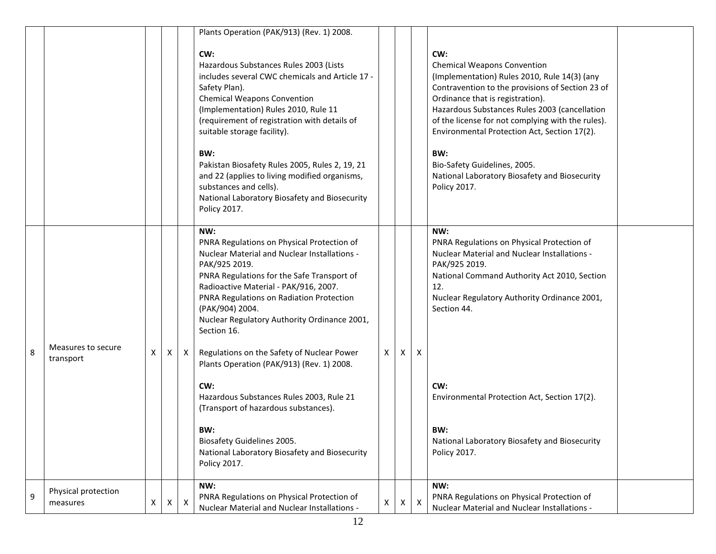|   |                                 |   |              |                           | Plants Operation (PAK/913) (Rev. 1) 2008.                                                                                                                                                                                                                                                                                                                                                                                                                                           |   |   |              |                                                                                                                                                                                                                                                                                                                                                                                                                                                 |  |
|---|---------------------------------|---|--------------|---------------------------|-------------------------------------------------------------------------------------------------------------------------------------------------------------------------------------------------------------------------------------------------------------------------------------------------------------------------------------------------------------------------------------------------------------------------------------------------------------------------------------|---|---|--------------|-------------------------------------------------------------------------------------------------------------------------------------------------------------------------------------------------------------------------------------------------------------------------------------------------------------------------------------------------------------------------------------------------------------------------------------------------|--|
|   |                                 |   |              |                           | CW:<br>Hazardous Substances Rules 2003 (Lists<br>includes several CWC chemicals and Article 17 -<br>Safety Plan).<br><b>Chemical Weapons Convention</b><br>(Implementation) Rules 2010, Rule 11<br>(requirement of registration with details of<br>suitable storage facility).<br>BW:<br>Pakistan Biosafety Rules 2005, Rules 2, 19, 21<br>and 22 (applies to living modified organisms,<br>substances and cells).<br>National Laboratory Biosafety and Biosecurity<br>Policy 2017. |   |   |              | CW:<br><b>Chemical Weapons Convention</b><br>(Implementation) Rules 2010, Rule 14(3) (any<br>Contravention to the provisions of Section 23 of<br>Ordinance that is registration).<br>Hazardous Substances Rules 2003 (cancellation<br>of the license for not complying with the rules).<br>Environmental Protection Act, Section 17(2).<br>BW:<br>Bio-Safety Guidelines, 2005.<br>National Laboratory Biosafety and Biosecurity<br>Policy 2017. |  |
| 8 | Measures to secure<br>transport | X | X            | X I                       | NW:<br>PNRA Regulations on Physical Protection of<br>Nuclear Material and Nuclear Installations -<br>PAK/925 2019.<br>PNRA Regulations for the Safe Transport of<br>Radioactive Material - PAK/916, 2007.<br>PNRA Regulations on Radiation Protection<br>(PAK/904) 2004.<br>Nuclear Regulatory Authority Ordinance 2001,<br>Section 16.<br>Regulations on the Safety of Nuclear Power<br>Plants Operation (PAK/913) (Rev. 1) 2008.<br>CW:                                           | X | X | X            | NW:<br>PNRA Regulations on Physical Protection of<br>Nuclear Material and Nuclear Installations -<br>PAK/925 2019.<br>National Command Authority Act 2010, Section<br>12.<br>Nuclear Regulatory Authority Ordinance 2001,<br>Section 44.<br>CW:                                                                                                                                                                                                 |  |
|   |                                 |   |              |                           | Hazardous Substances Rules 2003, Rule 21<br>(Transport of hazardous substances).<br>BW:<br>Biosafety Guidelines 2005.<br>National Laboratory Biosafety and Biosecurity<br>Policy 2017.                                                                                                                                                                                                                                                                                              |   |   |              | Environmental Protection Act, Section 17(2).<br>BW:<br>National Laboratory Biosafety and Biosecurity<br>Policy 2017.                                                                                                                                                                                                                                                                                                                            |  |
| 9 | Physical protection<br>measures | X | $\mathsf{X}$ | $\boldsymbol{\mathsf{X}}$ | NW:<br>PNRA Regulations on Physical Protection of<br>Nuclear Material and Nuclear Installations -                                                                                                                                                                                                                                                                                                                                                                                   | X | X | $\mathsf{X}$ | NW:<br>PNRA Regulations on Physical Protection of<br>Nuclear Material and Nuclear Installations -                                                                                                                                                                                                                                                                                                                                               |  |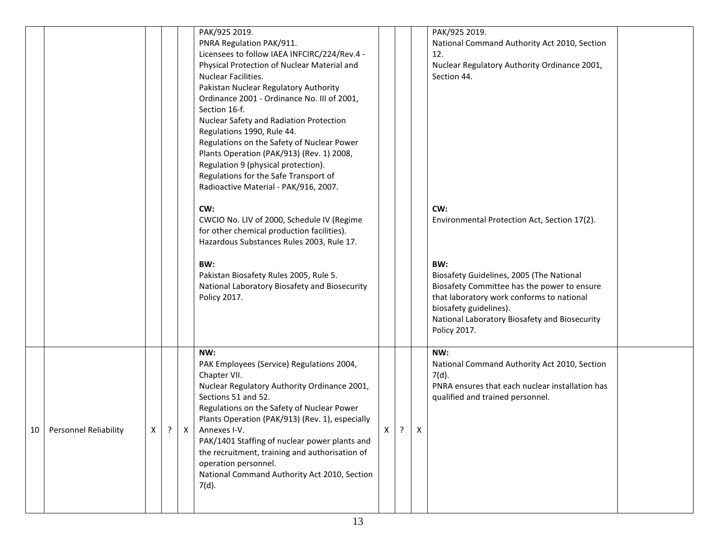|                            |   |            |              | PAK/925 2019.<br>PNRA Regulation PAK/911.<br>Licensees to follow IAEA INFCIRC/224/Rev.4 -<br>Physical Protection of Nuclear Material and<br>Nuclear Facilities.<br>Pakistan Nuclear Regulatory Authority<br>Ordinance 2001 - Ordinance No. III of 2001,<br>Section 16-f.<br>Nuclear Safety and Radiation Protection<br>Regulations 1990, Rule 44.                                                                                            |              |            |                           | PAK/925 2019.<br>National Command Authority Act 2010, Section<br>12.<br>Nuclear Regulatory Authority Ordinance 2001,<br>Section 44.                                                                                                    |  |
|----------------------------|---|------------|--------------|----------------------------------------------------------------------------------------------------------------------------------------------------------------------------------------------------------------------------------------------------------------------------------------------------------------------------------------------------------------------------------------------------------------------------------------------|--------------|------------|---------------------------|----------------------------------------------------------------------------------------------------------------------------------------------------------------------------------------------------------------------------------------|--|
|                            |   |            |              | Regulations on the Safety of Nuclear Power<br>Plants Operation (PAK/913) (Rev. 1) 2008,<br>Regulation 9 (physical protection).<br>Regulations for the Safe Transport of<br>Radioactive Material - PAK/916, 2007.<br>CW:<br>CWCIO No. LIV of 2000, Schedule IV (Regime<br>for other chemical production facilities).<br>Hazardous Substances Rules 2003, Rule 17.                                                                             |              |            |                           | CW:<br>Environmental Protection Act, Section 17(2).                                                                                                                                                                                    |  |
|                            |   |            |              | BW:<br>Pakistan Biosafety Rules 2005, Rule 5.<br>National Laboratory Biosafety and Biosecurity<br>Policy 2017.                                                                                                                                                                                                                                                                                                                               |              |            |                           | BW:<br>Biosafety Guidelines, 2005 (The National<br>Biosafety Committee has the power to ensure<br>that laboratory work conforms to national<br>biosafety guidelines).<br>National Laboratory Biosafety and Biosecurity<br>Policy 2017. |  |
| 10   Personnel Reliability | X | $\ddot{?}$ | $\mathsf{X}$ | NW:<br>PAK Employees (Service) Regulations 2004,<br>Chapter VII.<br>Nuclear Regulatory Authority Ordinance 2001,<br>Sections 51 and 52.<br>Regulations on the Safety of Nuclear Power<br>Plants Operation (PAK/913) (Rev. 1), especially<br>Annexes I-V.<br>PAK/1401 Staffing of nuclear power plants and<br>the recruitment, training and authorisation of<br>operation personnel.<br>National Command Authority Act 2010, Section<br>7(d). | $\mathbf{v}$ | $\ddot{?}$ | $\boldsymbol{\mathsf{X}}$ | NW:<br>National Command Authority Act 2010, Section<br>$7(d)$ .<br>PNRA ensures that each nuclear installation has<br>qualified and trained personnel.                                                                                 |  |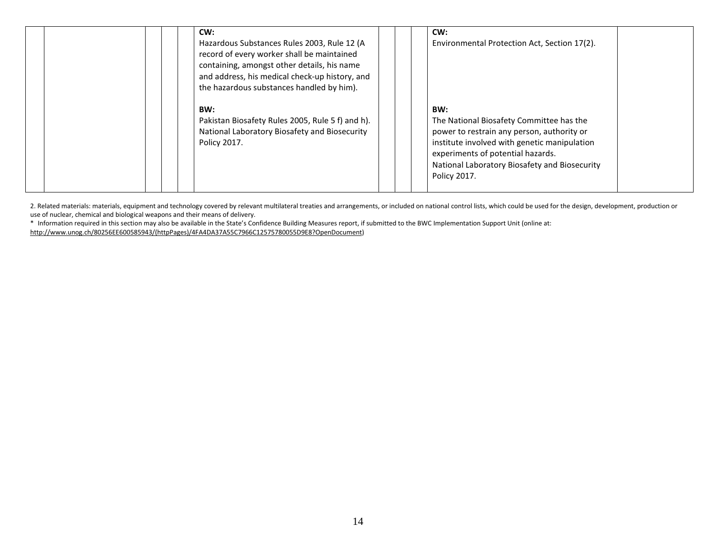|  | CW:<br>Hazardous Substances Rules 2003, Rule 12 (A)<br>record of every worker shall be maintained<br>containing, amongst other details, his name<br>and address, his medical check-up history, and<br>the hazardous substances handled by him). |  | CW:<br>Environmental Protection Act, Section 17(2).                                                                                                                                                                                                 |
|--|-------------------------------------------------------------------------------------------------------------------------------------------------------------------------------------------------------------------------------------------------|--|-----------------------------------------------------------------------------------------------------------------------------------------------------------------------------------------------------------------------------------------------------|
|  | BW:<br>Pakistan Biosafety Rules 2005, Rule 5 f) and h).<br>National Laboratory Biosafety and Biosecurity<br>Policy 2017.                                                                                                                        |  | BW:<br>The National Biosafety Committee has the<br>power to restrain any person, authority or<br>institute involved with genetic manipulation<br>experiments of potential hazards.<br>National Laboratory Biosafety and Biosecurity<br>Policy 2017. |

2. Related materials: materials, equipment and technology covered by relevant multilateral treaties and arrangements, or included on national control lists, which could be used for the design, development, production or<br>us

\* Information required in this section may also be available in the State's Confidence Building Measures report, if submitted to the BWC Implementation Support Unit (online at:

http://www.unog.ch/80256EE600585943/(httpPages)/4FA4DA37A55C7966C12575780055D9E8?OpenDocument)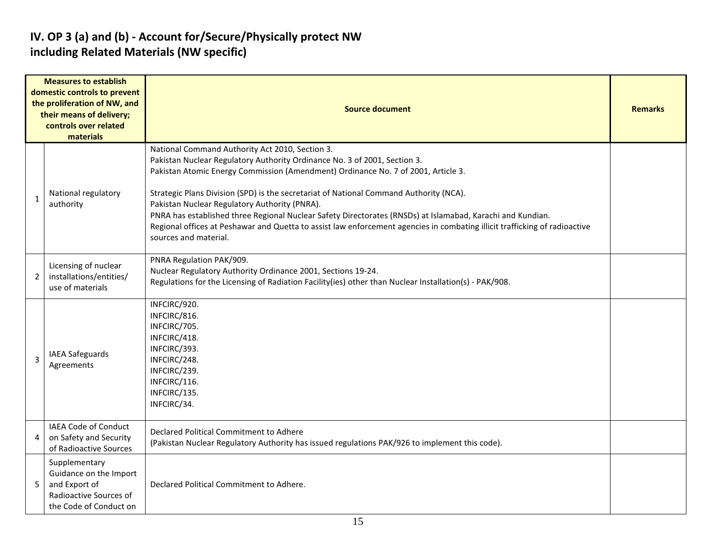### IV. OP 3 (a) and (b) - Account for/Secure/Physically protect NW including Related Materials (NW specific)

|                | <b>Measures to establish</b><br>domestic controls to prevent<br>the proliferation of NW, and<br>their means of delivery;<br>controls over related<br>materials | Source document                                                                                                                                                                                                                                                                                                                                                                                                                                                                                                                                                                                                                   |  |  |  |  |  |  |  |  |  |
|----------------|----------------------------------------------------------------------------------------------------------------------------------------------------------------|-----------------------------------------------------------------------------------------------------------------------------------------------------------------------------------------------------------------------------------------------------------------------------------------------------------------------------------------------------------------------------------------------------------------------------------------------------------------------------------------------------------------------------------------------------------------------------------------------------------------------------------|--|--|--|--|--|--|--|--|--|
| $\mathbf{1}$   | National regulatory<br>authority                                                                                                                               | National Command Authority Act 2010, Section 3.<br>Pakistan Nuclear Regulatory Authority Ordinance No. 3 of 2001, Section 3.<br>Pakistan Atomic Energy Commission (Amendment) Ordinance No. 7 of 2001, Article 3.<br>Strategic Plans Division (SPD) is the secretariat of National Command Authority (NCA).<br>Pakistan Nuclear Regulatory Authority (PNRA).<br>PNRA has established three Regional Nuclear Safety Directorates (RNSDs) at Islamabad, Karachi and Kundian.<br>Regional offices at Peshawar and Quetta to assist law enforcement agencies in combating illicit trafficking of radioactive<br>sources and material. |  |  |  |  |  |  |  |  |  |
| $\overline{2}$ | Licensing of nuclear<br>installations/entities/<br>use of materials                                                                                            | PNRA Regulation PAK/909.<br>Nuclear Regulatory Authority Ordinance 2001, Sections 19-24.<br>Regulations for the Licensing of Radiation Facility(ies) other than Nuclear Installation(s) - PAK/908.                                                                                                                                                                                                                                                                                                                                                                                                                                |  |  |  |  |  |  |  |  |  |
| $\overline{3}$ | IAEA Safeguards<br>Agreements                                                                                                                                  | INFCIRC/920.<br>INFCIRC/816.<br>INFCIRC/705.<br>INFCIRC/418.<br>INFCIRC/393.<br>INFCIRC/248.<br>INFCIRC/239.<br>INFCIRC/116.<br>INFCIRC/135.<br>INFCIRC/34.                                                                                                                                                                                                                                                                                                                                                                                                                                                                       |  |  |  |  |  |  |  |  |  |
| 4              | <b>IAEA Code of Conduct</b><br>on Safety and Security<br>of Radioactive Sources                                                                                | Declared Political Commitment to Adhere<br>(Pakistan Nuclear Regulatory Authority has issued regulations PAK/926 to implement this code).                                                                                                                                                                                                                                                                                                                                                                                                                                                                                         |  |  |  |  |  |  |  |  |  |
| 5              | Supplementary<br>Guidance on the Import<br>and Export of<br>Radioactive Sources of<br>the Code of Conduct on                                                   | Declared Political Commitment to Adhere.                                                                                                                                                                                                                                                                                                                                                                                                                                                                                                                                                                                          |  |  |  |  |  |  |  |  |  |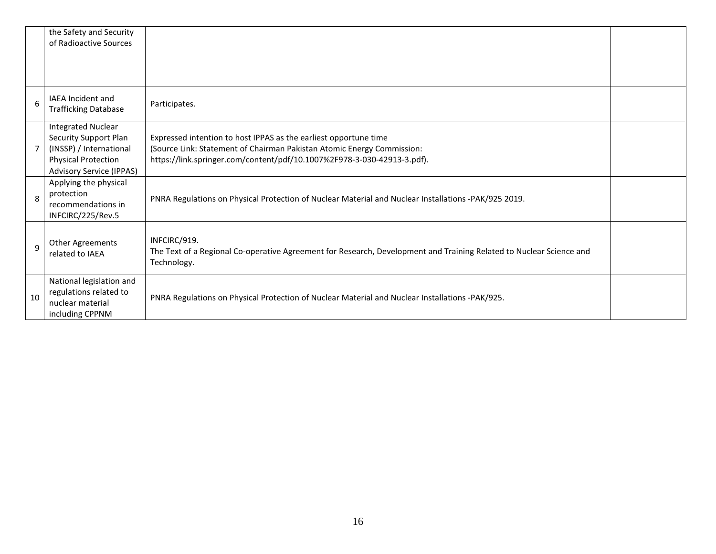|              | the Safety and Security<br>of Radioactive Sources                                                                                                     |                                                                                                                                                                                                                       |  |
|--------------|-------------------------------------------------------------------------------------------------------------------------------------------------------|-----------------------------------------------------------------------------------------------------------------------------------------------------------------------------------------------------------------------|--|
| 6            | IAEA Incident and<br><b>Trafficking Database</b>                                                                                                      | Participates.                                                                                                                                                                                                         |  |
|              | <b>Integrated Nuclear</b><br><b>Security Support Plan</b><br>(INSSP) / International<br><b>Physical Protection</b><br><b>Advisory Service (IPPAS)</b> | Expressed intention to host IPPAS as the earliest opportune time<br>(Source Link: Statement of Chairman Pakistan Atomic Energy Commission:<br>https://link.springer.com/content/pdf/10.1007%2F978-3-030-42913-3.pdf). |  |
| 8            | Applying the physical<br>protection<br>recommendations in<br>INFCIRC/225/Rev.5                                                                        | PNRA Regulations on Physical Protection of Nuclear Material and Nuclear Installations -PAK/925 2019.                                                                                                                  |  |
| $\mathsf{q}$ | Other Agreements<br>related to IAEA                                                                                                                   | INFCIRC/919.<br>The Text of a Regional Co-operative Agreement for Research, Development and Training Related to Nuclear Science and<br>Technology.                                                                    |  |
| 10           | National legislation and<br>regulations related to<br>nuclear material<br>including CPPNM                                                             | PNRA Regulations on Physical Protection of Nuclear Material and Nuclear Installations -PAK/925.                                                                                                                       |  |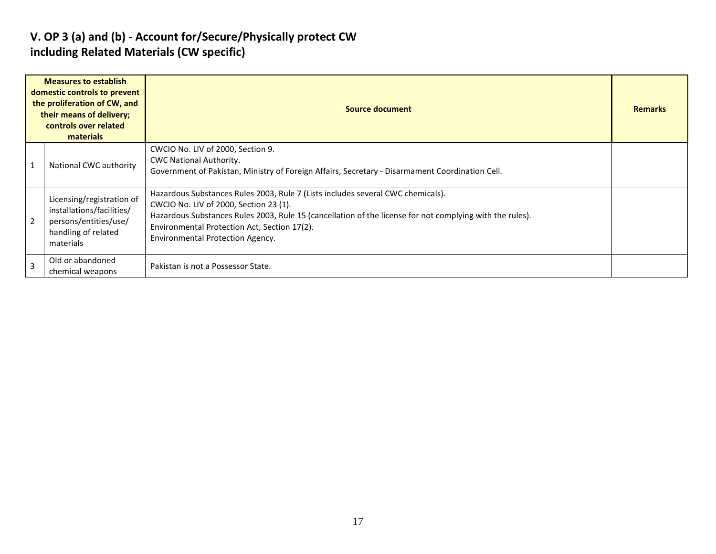### V. OP 3 (a) and (b) - Account for/Secure/Physically protect CW including Related Materials (CW specific)

| <b>Measures to establish</b><br>domestic controls to prevent<br>the proliferation of CW, and<br>their means of delivery;<br>controls over related<br>materials |                                                                                                                     | <b>Source document</b>                                                                                                                                                                                                                                                                                                           |  |  |  |  |  |  |  |
|----------------------------------------------------------------------------------------------------------------------------------------------------------------|---------------------------------------------------------------------------------------------------------------------|----------------------------------------------------------------------------------------------------------------------------------------------------------------------------------------------------------------------------------------------------------------------------------------------------------------------------------|--|--|--|--|--|--|--|
|                                                                                                                                                                | National CWC authority                                                                                              | CWCIO No. LIV of 2000, Section 9.<br><b>CWC National Authority.</b><br>Government of Pakistan, Ministry of Foreign Affairs, Secretary - Disarmament Coordination Cell.                                                                                                                                                           |  |  |  |  |  |  |  |
| $\overline{2}$                                                                                                                                                 | Licensing/registration of<br>installations/facilities/<br>persons/entities/use/<br>handling of related<br>materials | Hazardous Substances Rules 2003, Rule 7 (Lists includes several CWC chemicals).<br>CWCIO No. LIV of 2000, Section 23 (1).<br>Hazardous Substances Rules 2003, Rule 15 (cancellation of the license for not complying with the rules).<br>Environmental Protection Act, Section 17(2).<br><b>Environmental Protection Agency.</b> |  |  |  |  |  |  |  |
| $\overline{3}$                                                                                                                                                 | Old or abandoned<br>chemical weapons                                                                                | Pakistan is not a Possessor State.                                                                                                                                                                                                                                                                                               |  |  |  |  |  |  |  |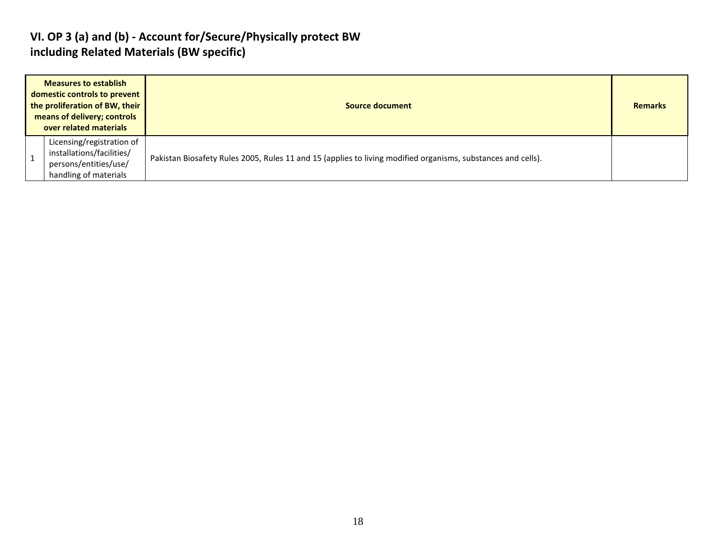#### VI. OP 3 (a) and (b) - Account for/Secure/Physically protect BW including Related Materials (BW specific)

| <b>Measures to establish</b><br>domestic controls to prevent<br>the proliferation of BW, their<br>means of delivery; controls<br>over related materials | Source document                                                                                              | <b>Remarks</b> |
|---------------------------------------------------------------------------------------------------------------------------------------------------------|--------------------------------------------------------------------------------------------------------------|----------------|
| Licensing/registration of<br>installations/facilities/<br>persons/entities/use/<br>handling of materials                                                | Pakistan Biosafety Rules 2005, Rules 11 and 15 (applies to living modified organisms, substances and cells). |                |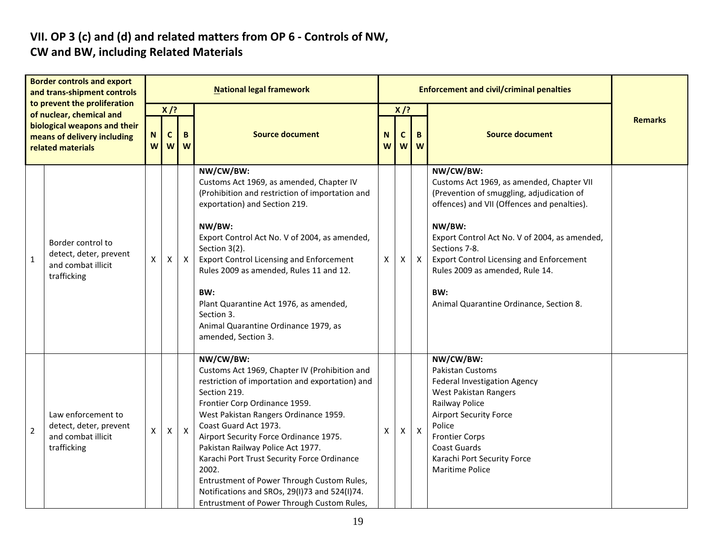### VII. OP 3 (c) and (d) and related matters from OP 6 - Controls of NW, CW and BW, including Related Materials

| <b>Border controls and export</b><br>and trans-shipment controls<br>to prevent the proliferation<br>of nuclear, chemical and<br>biological weapons and their<br>means of delivery including<br>related materials |                                                                                   |   |                                       |              | <b>National legal framework</b>                                                                                                                                                                                                                                                                                                                                                                                                                                                                                      |              |                       | <b>Enforcement and civil/criminal penalties</b> |                                                                                                                                                                                                                                                                                                                                                                        |                |
|------------------------------------------------------------------------------------------------------------------------------------------------------------------------------------------------------------------|-----------------------------------------------------------------------------------|---|---------------------------------------|--------------|----------------------------------------------------------------------------------------------------------------------------------------------------------------------------------------------------------------------------------------------------------------------------------------------------------------------------------------------------------------------------------------------------------------------------------------------------------------------------------------------------------------------|--------------|-----------------------|-------------------------------------------------|------------------------------------------------------------------------------------------------------------------------------------------------------------------------------------------------------------------------------------------------------------------------------------------------------------------------------------------------------------------------|----------------|
|                                                                                                                                                                                                                  |                                                                                   | W | $X$ /?<br>$\mathbf{C}$<br>B<br>W<br>W |              | <b>Source document</b>                                                                                                                                                                                                                                                                                                                                                                                                                                                                                               | N<br>W       | $X$ /?<br>$\mathbf c$ | B<br>ww                                         | <b>Source document</b>                                                                                                                                                                                                                                                                                                                                                 | <b>Remarks</b> |
| $\mathbf{1}$                                                                                                                                                                                                     | Border control to<br>detect, deter, prevent<br>and combat illicit<br>trafficking  | X | X                                     | $\mathsf{X}$ | NW/CW/BW:<br>Customs Act 1969, as amended, Chapter IV<br>(Prohibition and restriction of importation and<br>exportation) and Section 219.<br>NW/BW:<br>Export Control Act No. V of 2004, as amended,<br>Section 3(2).<br><b>Export Control Licensing and Enforcement</b><br>Rules 2009 as amended, Rules 11 and 12.<br>BW:<br>Plant Quarantine Act 1976, as amended,<br>Section 3.<br>Animal Quarantine Ordinance 1979, as<br>amended, Section 3.                                                                    | $\mathsf{X}$ | X                     | $\mathsf{X}$                                    | NW/CW/BW:<br>Customs Act 1969, as amended, Chapter VII<br>(Prevention of smuggling, adjudication of<br>offences) and VII (Offences and penalties).<br>NW/BW:<br>Export Control Act No. V of 2004, as amended,<br>Sections 7-8.<br><b>Export Control Licensing and Enforcement</b><br>Rules 2009 as amended, Rule 14.<br>BW:<br>Animal Quarantine Ordinance, Section 8. |                |
| $\overline{2}$                                                                                                                                                                                                   | Law enforcement to<br>detect, deter, prevent<br>and combat illicit<br>trafficking | X | X                                     | $\mathsf{X}$ | NW/CW/BW:<br>Customs Act 1969, Chapter IV (Prohibition and<br>restriction of importation and exportation) and<br>Section 219.<br>Frontier Corp Ordinance 1959.<br>West Pakistan Rangers Ordinance 1959.<br>Coast Guard Act 1973.<br>Airport Security Force Ordinance 1975.<br>Pakistan Railway Police Act 1977.<br>Karachi Port Trust Security Force Ordinance<br>2002.<br>Entrustment of Power Through Custom Rules,<br>Notifications and SROs, 29(I)73 and 524(I)74.<br>Entrustment of Power Through Custom Rules, | X            | X                     | $\mathsf{X}$                                    | NW/CW/BW:<br>Pakistan Customs<br>Federal Investigation Agency<br><b>West Pakistan Rangers</b><br>Railway Police<br><b>Airport Security Force</b><br>Police<br><b>Frontier Corps</b><br>Coast Guards<br>Karachi Port Security Force<br><b>Maritime Police</b>                                                                                                           |                |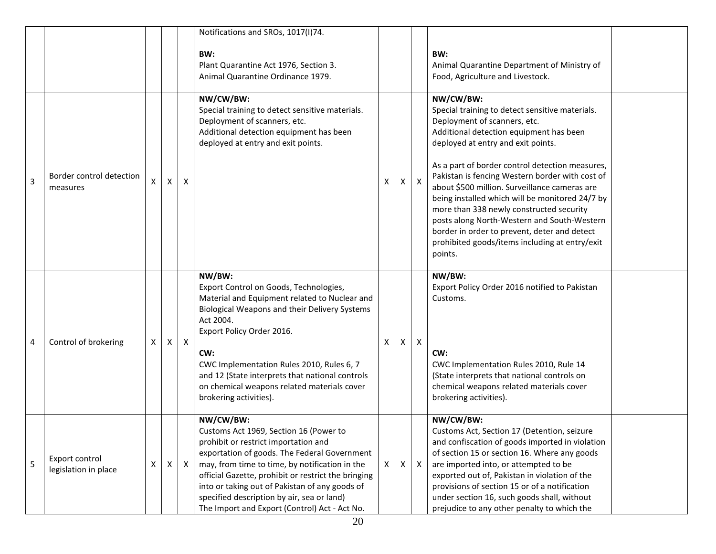|   |                                        |   |   |              | Notifications and SROs, 1017(I)74.                                                                                                                                                                                                                                                                                                                                                                    |    |                |              |                                                                                                                                                                                                                                                                                                                                                                                                                                                                                                                                                                                                 |  |
|---|----------------------------------------|---|---|--------------|-------------------------------------------------------------------------------------------------------------------------------------------------------------------------------------------------------------------------------------------------------------------------------------------------------------------------------------------------------------------------------------------------------|----|----------------|--------------|-------------------------------------------------------------------------------------------------------------------------------------------------------------------------------------------------------------------------------------------------------------------------------------------------------------------------------------------------------------------------------------------------------------------------------------------------------------------------------------------------------------------------------------------------------------------------------------------------|--|
|   |                                        |   |   |              | BW:<br>Plant Quarantine Act 1976, Section 3.<br>Animal Quarantine Ordinance 1979.                                                                                                                                                                                                                                                                                                                     |    |                |              | BW:<br>Animal Quarantine Department of Ministry of<br>Food, Agriculture and Livestock.                                                                                                                                                                                                                                                                                                                                                                                                                                                                                                          |  |
| 3 | Border control detection<br>measures   | X | X | X            | NW/CW/BW:<br>Special training to detect sensitive materials.<br>Deployment of scanners, etc.<br>Additional detection equipment has been<br>deployed at entry and exit points.                                                                                                                                                                                                                         | X  | $\mathsf{X}^-$ | $\mathsf{X}$ | NW/CW/BW:<br>Special training to detect sensitive materials.<br>Deployment of scanners, etc.<br>Additional detection equipment has been<br>deployed at entry and exit points.<br>As a part of border control detection measures,<br>Pakistan is fencing Western border with cost of<br>about \$500 million. Surveillance cameras are<br>being installed which will be monitored 24/7 by<br>more than 338 newly constructed security<br>posts along North-Western and South-Western<br>border in order to prevent, deter and detect<br>prohibited goods/items including at entry/exit<br>points. |  |
| 4 | Control of brokering                   | X | X | $\mathsf{X}$ | NW/BW:<br>Export Control on Goods, Technologies,<br>Material and Equipment related to Nuclear and<br>Biological Weapons and their Delivery Systems<br>Act 2004.<br>Export Policy Order 2016.<br>CW:<br>CWC Implementation Rules 2010, Rules 6, 7<br>and 12 (State interprets that national controls<br>on chemical weapons related materials cover<br>brokering activities).                          | x  | X              | $\mathsf{X}$ | NW/BW:<br>Export Policy Order 2016 notified to Pakistan<br>Customs.<br>CW:<br>CWC Implementation Rules 2010, Rule 14<br>(State interprets that national controls on<br>chemical weapons related materials cover<br>brokering activities).                                                                                                                                                                                                                                                                                                                                                       |  |
| 5 | Export control<br>legislation in place | X | X | $\mathsf{X}$ | NW/CW/BW:<br>Customs Act 1969, Section 16 (Power to<br>prohibit or restrict importation and<br>exportation of goods. The Federal Government<br>may, from time to time, by notification in the<br>official Gazette, prohibit or restrict the bringing<br>into or taking out of Pakistan of any goods of<br>specified description by air, sea or land)<br>The Import and Export (Control) Act - Act No. | X. | X              | $\mathsf{X}$ | NW/CW/BW:<br>Customs Act, Section 17 (Detention, seizure<br>and confiscation of goods imported in violation<br>of section 15 or section 16. Where any goods<br>are imported into, or attempted to be<br>exported out of, Pakistan in violation of the<br>provisions of section 15 or of a notification<br>under section 16, such goods shall, without<br>prejudice to any other penalty to which the                                                                                                                                                                                            |  |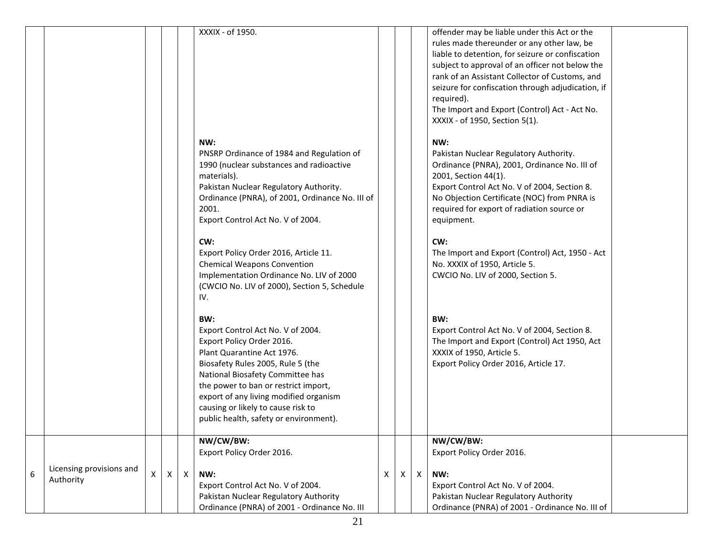|   |                                       |   |   |              | XXXIX - of 1950.                                                                                                                                                                                                                                                                                                                               |   |    |              | offender may be liable under this Act or the<br>rules made thereunder or any other law, be<br>liable to detention, for seizure or confiscation<br>subject to approval of an officer not below the<br>rank of an Assistant Collector of Customs, and<br>seizure for confiscation through adjudication, if<br>required).<br>The Import and Export (Control) Act - Act No.<br>XXXIX - of 1950, Section 5(1). |
|---|---------------------------------------|---|---|--------------|------------------------------------------------------------------------------------------------------------------------------------------------------------------------------------------------------------------------------------------------------------------------------------------------------------------------------------------------|---|----|--------------|-----------------------------------------------------------------------------------------------------------------------------------------------------------------------------------------------------------------------------------------------------------------------------------------------------------------------------------------------------------------------------------------------------------|
|   |                                       |   |   |              | NW:<br>PNSRP Ordinance of 1984 and Regulation of<br>1990 (nuclear substances and radioactive<br>materials).<br>Pakistan Nuclear Regulatory Authority.<br>Ordinance (PNRA), of 2001, Ordinance No. III of<br>2001.<br>Export Control Act No. V of 2004.                                                                                         |   |    |              | NW:<br>Pakistan Nuclear Regulatory Authority.<br>Ordinance (PNRA), 2001, Ordinance No. III of<br>2001, Section 44(1).<br>Export Control Act No. V of 2004, Section 8.<br>No Objection Certificate (NOC) from PNRA is<br>required for export of radiation source or<br>equipment.                                                                                                                          |
|   |                                       |   |   |              | CW:<br>Export Policy Order 2016, Article 11.<br><b>Chemical Weapons Convention</b><br>Implementation Ordinance No. LIV of 2000<br>(CWCIO No. LIV of 2000), Section 5, Schedule<br>IV.                                                                                                                                                          |   |    |              | CW:<br>The Import and Export (Control) Act, 1950 - Act<br>No. XXXIX of 1950, Article 5.<br>CWCIO No. LIV of 2000, Section 5.                                                                                                                                                                                                                                                                              |
|   |                                       |   |   |              | BW:<br>Export Control Act No. V of 2004.<br>Export Policy Order 2016.<br>Plant Quarantine Act 1976.<br>Biosafety Rules 2005, Rule 5 (the<br>National Biosafety Committee has<br>the power to ban or restrict import,<br>export of any living modified organism<br>causing or likely to cause risk to<br>public health, safety or environment). |   |    |              | BW:<br>Export Control Act No. V of 2004, Section 8.<br>The Import and Export (Control) Act 1950, Act<br>XXXIX of 1950, Article 5.<br>Export Policy Order 2016, Article 17.                                                                                                                                                                                                                                |
| 6 | Licensing provisions and<br>Authority | X | X | $\mathsf{X}$ | NW/CW/BW:<br>Export Policy Order 2016.<br>NW:<br>Export Control Act No. V of 2004.<br>Pakistan Nuclear Regulatory Authority<br>Ordinance (PNRA) of 2001 - Ordinance No. III                                                                                                                                                                    | X | X. | $\mathsf{X}$ | NW/CW/BW:<br>Export Policy Order 2016.<br>NW:<br>Export Control Act No. V of 2004.<br>Pakistan Nuclear Regulatory Authority<br>Ordinance (PNRA) of 2001 - Ordinance No. III of                                                                                                                                                                                                                            |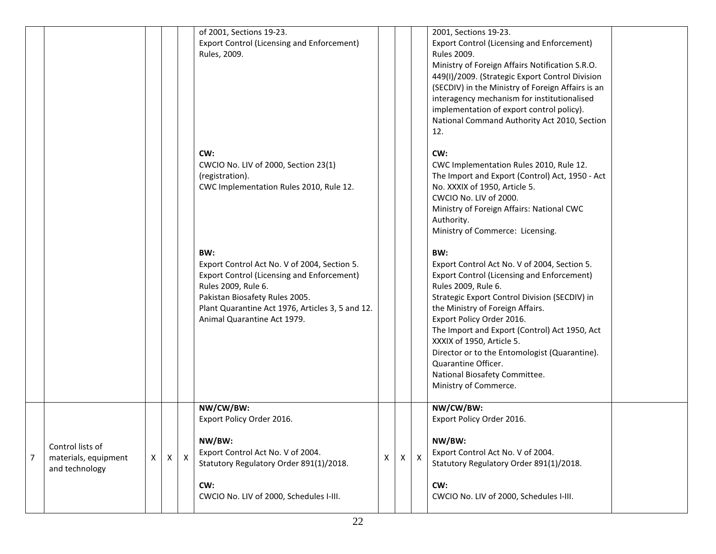|   |                                                            |   |   |              | of 2001, Sections 19-23.<br><b>Export Control (Licensing and Enforcement)</b><br>Rules, 2009.                                                                                                                                                        |   |              |                           | 2001, Sections 19-23.<br><b>Export Control (Licensing and Enforcement)</b><br><b>Rules 2009.</b><br>Ministry of Foreign Affairs Notification S.R.O.<br>449(I)/2009. (Strategic Export Control Division<br>(SECDIV) in the Ministry of Foreign Affairs is an<br>interagency mechanism for institutionalised<br>implementation of export control policy).<br>National Command Authority Act 2010, Section<br>12.                                                    |  |
|---|------------------------------------------------------------|---|---|--------------|------------------------------------------------------------------------------------------------------------------------------------------------------------------------------------------------------------------------------------------------------|---|--------------|---------------------------|-------------------------------------------------------------------------------------------------------------------------------------------------------------------------------------------------------------------------------------------------------------------------------------------------------------------------------------------------------------------------------------------------------------------------------------------------------------------|--|
|   |                                                            |   |   |              | CW:<br>CWCIO No. LIV of 2000, Section 23(1)<br>(registration).<br>CWC Implementation Rules 2010, Rule 12.                                                                                                                                            |   |              |                           | CW:<br>CWC Implementation Rules 2010, Rule 12.<br>The Import and Export (Control) Act, 1950 - Act<br>No. XXXIX of 1950, Article 5.<br>CWCIO No. LIV of 2000.<br>Ministry of Foreign Affairs: National CWC<br>Authority.<br>Ministry of Commerce: Licensing.                                                                                                                                                                                                       |  |
|   |                                                            |   |   |              | BW:<br>Export Control Act No. V of 2004, Section 5.<br><b>Export Control (Licensing and Enforcement)</b><br>Rules 2009, Rule 6.<br>Pakistan Biosafety Rules 2005.<br>Plant Quarantine Act 1976, Articles 3, 5 and 12.<br>Animal Quarantine Act 1979. |   |              |                           | BW:<br>Export Control Act No. V of 2004, Section 5.<br><b>Export Control (Licensing and Enforcement)</b><br>Rules 2009, Rule 6.<br>Strategic Export Control Division (SECDIV) in<br>the Ministry of Foreign Affairs.<br>Export Policy Order 2016.<br>The Import and Export (Control) Act 1950, Act<br>XXXIX of 1950, Article 5.<br>Director or to the Entomologist (Quarantine).<br>Quarantine Officer.<br>National Biosafety Committee.<br>Ministry of Commerce. |  |
| 7 | Control lists of<br>materials, equipment<br>and technology | X | X | $\mathsf{X}$ | NW/CW/BW:<br>Export Policy Order 2016.<br>NW/BW:<br>Export Control Act No. V of 2004.<br>Statutory Regulatory Order 891(1)/2018.<br>CW:<br>CWCIO No. LIV of 2000, Schedules I-III.                                                                   | X | $\mathsf{X}$ | $\boldsymbol{\mathsf{X}}$ | NW/CW/BW:<br>Export Policy Order 2016.<br>NW/BW:<br>Export Control Act No. V of 2004.<br>Statutory Regulatory Order 891(1)/2018.<br>CW:<br>CWCIO No. LIV of 2000, Schedules I-III.                                                                                                                                                                                                                                                                                |  |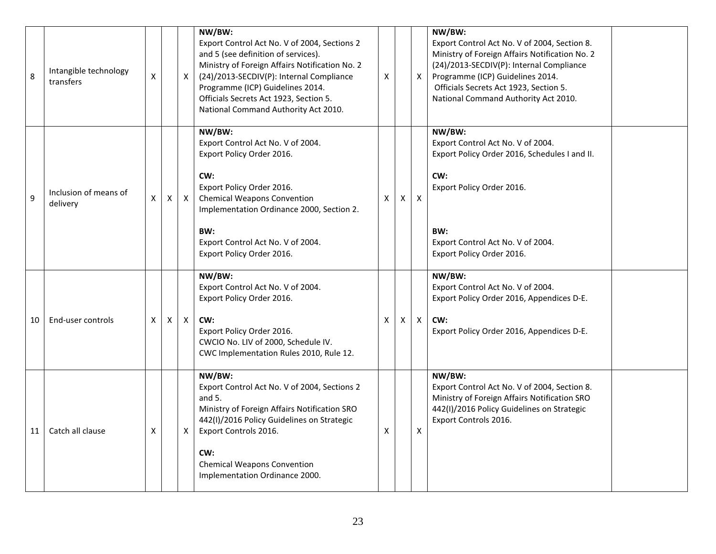| 8  | Intangible technology<br>transfers | X  |   | X            | NW/BW:<br>Export Control Act No. V of 2004, Sections 2<br>and 5 (see definition of services).<br>Ministry of Foreign Affairs Notification No. 2<br>(24)/2013-SECDIV(P): Internal Compliance<br>Programme (ICP) Guidelines 2014.<br>Officials Secrets Act 1923, Section 5.<br>National Command Authority Act 2010. | X |   | X                  | NW/BW:<br>Export Control Act No. V of 2004, Section 8.<br>Ministry of Foreign Affairs Notification No. 2<br>(24)/2013-SECDIV(P): Internal Compliance<br>Programme (ICP) Guidelines 2014.<br>Officials Secrets Act 1923, Section 5.<br>National Command Authority Act 2010. |
|----|------------------------------------|----|---|--------------|-------------------------------------------------------------------------------------------------------------------------------------------------------------------------------------------------------------------------------------------------------------------------------------------------------------------|---|---|--------------------|----------------------------------------------------------------------------------------------------------------------------------------------------------------------------------------------------------------------------------------------------------------------------|
| 9  | Inclusion of means of<br>delivery  | X. | X | $\mathsf{X}$ | NW/BW:<br>Export Control Act No. V of 2004.<br>Export Policy Order 2016.<br>CW:<br>Export Policy Order 2016.<br><b>Chemical Weapons Convention</b><br>Implementation Ordinance 2000, Section 2.<br>BW:<br>Export Control Act No. V of 2004.<br>Export Policy Order 2016.                                          | X | X | $\mathsf{X}$       | NW/BW:<br>Export Control Act No. V of 2004.<br>Export Policy Order 2016, Schedules I and II.<br>CW:<br>Export Policy Order 2016.<br>BW:<br>Export Control Act No. V of 2004.<br>Export Policy Order 2016.                                                                  |
| 10 | End-user controls                  | X  | X | $\mathsf{X}$ | NW/BW:<br>Export Control Act No. V of 2004.<br>Export Policy Order 2016.<br>CW:<br>Export Policy Order 2016.<br>CWCIO No. LIV of 2000, Schedule IV.<br>CWC Implementation Rules 2010, Rule 12.                                                                                                                    | X | X | $\mathsf{X}$       | NW/BW:<br>Export Control Act No. V of 2004.<br>Export Policy Order 2016, Appendices D-E.<br>CW:<br>Export Policy Order 2016, Appendices D-E.                                                                                                                               |
| 11 | Catch all clause                   | X  |   | X            | NW/BW:<br>Export Control Act No. V of 2004, Sections 2<br>and $5.$<br>Ministry of Foreign Affairs Notification SRO<br>442(I)/2016 Policy Guidelines on Strategic<br>Export Controls 2016.<br>CW:<br><b>Chemical Weapons Convention</b><br>Implementation Ordinance 2000.                                          | X |   | $\pmb{\mathsf{X}}$ | NW/BW:<br>Export Control Act No. V of 2004, Section 8.<br>Ministry of Foreign Affairs Notification SRO<br>442(I)/2016 Policy Guidelines on Strategic<br>Export Controls 2016.                                                                                              |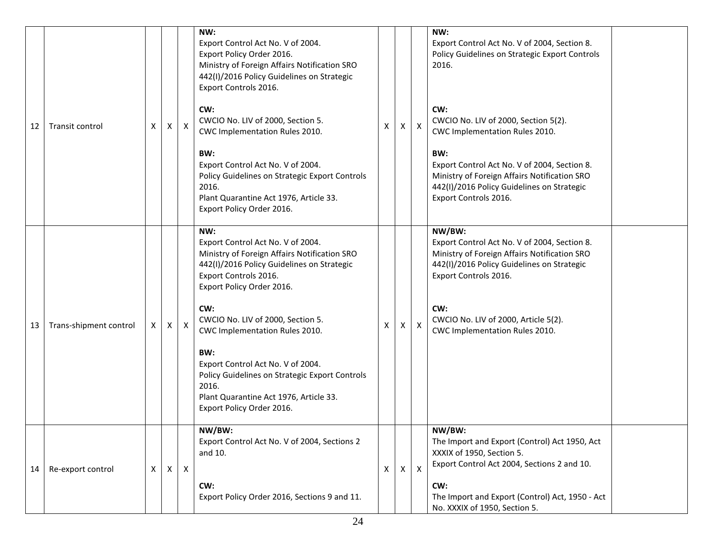| 12 | Transit control        | X | X | X | NW:<br>Export Control Act No. V of 2004.<br>Export Policy Order 2016.<br>Ministry of Foreign Affairs Notification SRO<br>442(I)/2016 Policy Guidelines on Strategic<br>Export Controls 2016.<br>CW:<br>CWCIO No. LIV of 2000, Section 5.<br>CWC Implementation Rules 2010.<br>BW:<br>Export Control Act No. V of 2004.<br>Policy Guidelines on Strategic Export Controls<br>2016.<br>Plant Quarantine Act 1976, Article 33.<br>Export Policy Order 2016. | х            | X | $\mathsf{X}$ | NW:<br>Export Control Act No. V of 2004, Section 8.<br>Policy Guidelines on Strategic Export Controls<br>2016.<br>CW:<br>CWCIO No. LIV of 2000, Section 5(2).<br>CWC Implementation Rules 2010.<br>BW:<br>Export Control Act No. V of 2004, Section 8.<br>Ministry of Foreign Affairs Notification SRO<br>442(I)/2016 Policy Guidelines on Strategic<br>Export Controls 2016. |  |
|----|------------------------|---|---|---|----------------------------------------------------------------------------------------------------------------------------------------------------------------------------------------------------------------------------------------------------------------------------------------------------------------------------------------------------------------------------------------------------------------------------------------------------------|--------------|---|--------------|-------------------------------------------------------------------------------------------------------------------------------------------------------------------------------------------------------------------------------------------------------------------------------------------------------------------------------------------------------------------------------|--|
| 13 | Trans-shipment control | X | X | X | NW:<br>Export Control Act No. V of 2004.<br>Ministry of Foreign Affairs Notification SRO<br>442(I)/2016 Policy Guidelines on Strategic<br>Export Controls 2016.<br>Export Policy Order 2016.<br>CW:<br>CWCIO No. LIV of 2000, Section 5.<br>CWC Implementation Rules 2010.<br>BW:<br>Export Control Act No. V of 2004.<br>Policy Guidelines on Strategic Export Controls<br>2016.<br>Plant Quarantine Act 1976, Article 33.<br>Export Policy Order 2016. | X            | X | X            | NW/BW:<br>Export Control Act No. V of 2004, Section 8.<br>Ministry of Foreign Affairs Notification SRO<br>442(I)/2016 Policy Guidelines on Strategic<br>Export Controls 2016.<br>CW:<br>CWCIO No. LIV of 2000, Article 5(2).<br>CWC Implementation Rules 2010.                                                                                                                |  |
| 14 | Re-export control      | X | X | X | NW/BW:<br>Export Control Act No. V of 2004, Sections 2<br>and 10.<br>CW:<br>Export Policy Order 2016, Sections 9 and 11.                                                                                                                                                                                                                                                                                                                                 | $\mathsf{X}$ | X | Χ            | NW/BW:<br>The Import and Export (Control) Act 1950, Act<br>XXXIX of 1950, Section 5.<br>Export Control Act 2004, Sections 2 and 10.<br>CW:<br>The Import and Export (Control) Act, 1950 - Act<br>No. XXXIX of 1950, Section 5.                                                                                                                                                |  |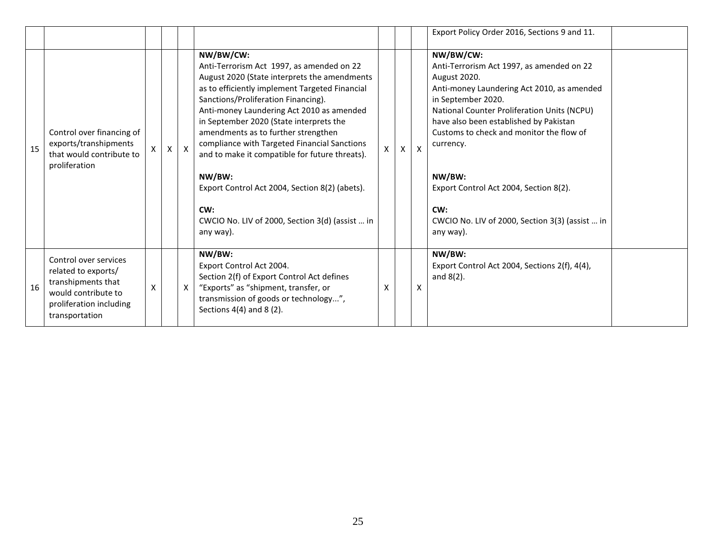|    |                                                                                                                                        |   |   |              |                                                                                                                                                                                                                                                                                                                                                                                                                                                                                                                                                                     |    |   |              | Export Policy Order 2016, Sections 9 and 11.                                                                                                                                                                                                                                                                                                                                                                            |  |
|----|----------------------------------------------------------------------------------------------------------------------------------------|---|---|--------------|---------------------------------------------------------------------------------------------------------------------------------------------------------------------------------------------------------------------------------------------------------------------------------------------------------------------------------------------------------------------------------------------------------------------------------------------------------------------------------------------------------------------------------------------------------------------|----|---|--------------|-------------------------------------------------------------------------------------------------------------------------------------------------------------------------------------------------------------------------------------------------------------------------------------------------------------------------------------------------------------------------------------------------------------------------|--|
| 15 | Control over financing of<br>exports/transhipments<br>that would contribute to<br>proliferation                                        | X | X | $\mathsf{X}$ | NW/BW/CW:<br>Anti-Terrorism Act 1997, as amended on 22<br>August 2020 (State interprets the amendments<br>as to efficiently implement Targeted Financial<br>Sanctions/Proliferation Financing).<br>Anti-money Laundering Act 2010 as amended<br>in September 2020 (State interprets the<br>amendments as to further strengthen<br>compliance with Targeted Financial Sanctions<br>and to make it compatible for future threats).<br>NW/BW:<br>Export Control Act 2004, Section 8(2) (abets).<br>CW:<br>CWCIO No. LIV of 2000, Section 3(d) (assist  in<br>any way). | X. | X | $\mathsf{x}$ | NW/BW/CW:<br>Anti-Terrorism Act 1997, as amended on 22<br>August 2020.<br>Anti-money Laundering Act 2010, as amended<br>in September 2020.<br>National Counter Proliferation Units (NCPU)<br>have also been established by Pakistan<br>Customs to check and monitor the flow of<br>currency.<br>NW/BW:<br>Export Control Act 2004, Section 8(2).<br>CW:<br>CWCIO No. LIV of 2000, Section 3(3) (assist  in<br>any way). |  |
| 16 | Control over services<br>related to exports/<br>transhipments that<br>would contribute to<br>proliferation including<br>transportation | X |   | X            | NW/BW:<br>Export Control Act 2004.<br>Section 2(f) of Export Control Act defines<br>"Exports" as "shipment, transfer, or<br>transmission of goods or technology",<br>Sections $4(4)$ and $8(2)$ .                                                                                                                                                                                                                                                                                                                                                                   | X  |   | X            | NW/BW:<br>Export Control Act 2004, Sections 2(f), 4(4),<br>and $8(2)$ .                                                                                                                                                                                                                                                                                                                                                 |  |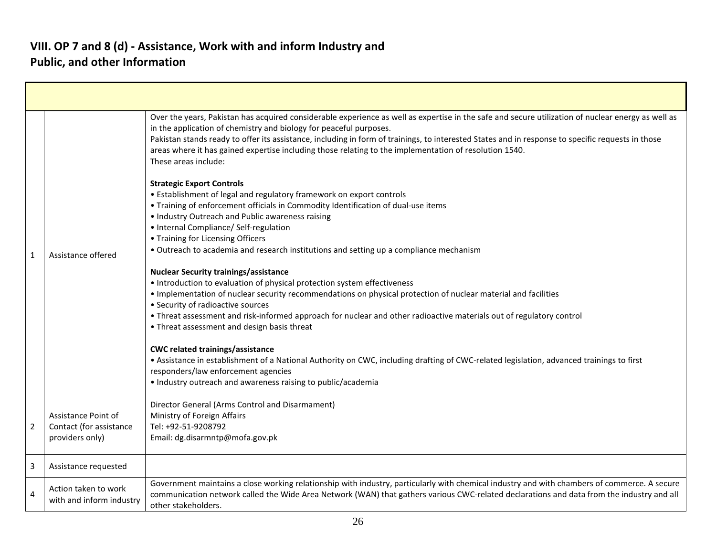| 1              | Assistance offered                                                | Over the years, Pakistan has acquired considerable experience as well as expertise in the safe and secure utilization of nuclear energy as well as<br>in the application of chemistry and biology for peaceful purposes.<br>Pakistan stands ready to offer its assistance, including in form of trainings, to interested States and in response to specific requests in those<br>areas where it has gained expertise including those relating to the implementation of resolution 1540.<br>These areas include:<br><b>Strategic Export Controls</b><br>• Establishment of legal and regulatory framework on export controls<br>. Training of enforcement officials in Commodity Identification of dual-use items<br>• Industry Outreach and Public awareness raising<br>• Internal Compliance/ Self-regulation<br>• Training for Licensing Officers<br>• Outreach to academia and research institutions and setting up a compliance mechanism<br><b>Nuclear Security trainings/assistance</b><br>• Introduction to evaluation of physical protection system effectiveness<br>. Implementation of nuclear security recommendations on physical protection of nuclear material and facilities<br>• Security of radioactive sources<br>• Threat assessment and risk-informed approach for nuclear and other radioactive materials out of regulatory control<br>• Threat assessment and design basis threat<br><b>CWC related trainings/assistance</b><br>. Assistance in establishment of a National Authority on CWC, including drafting of CWC-related legislation, advanced trainings to first<br>responders/law enforcement agencies<br>• Industry outreach and awareness raising to public/academia |
|----------------|-------------------------------------------------------------------|-------------------------------------------------------------------------------------------------------------------------------------------------------------------------------------------------------------------------------------------------------------------------------------------------------------------------------------------------------------------------------------------------------------------------------------------------------------------------------------------------------------------------------------------------------------------------------------------------------------------------------------------------------------------------------------------------------------------------------------------------------------------------------------------------------------------------------------------------------------------------------------------------------------------------------------------------------------------------------------------------------------------------------------------------------------------------------------------------------------------------------------------------------------------------------------------------------------------------------------------------------------------------------------------------------------------------------------------------------------------------------------------------------------------------------------------------------------------------------------------------------------------------------------------------------------------------------------------------------------------------------------------------------------------------------------------------------|
| $\overline{2}$ | Assistance Point of<br>Contact (for assistance<br>providers only) | Director General (Arms Control and Disarmament)<br>Ministry of Foreign Affairs<br>Tel: +92-51-9208792<br>Email: dg.disarmntp@mofa.gov.pk                                                                                                                                                                                                                                                                                                                                                                                                                                                                                                                                                                                                                                                                                                                                                                                                                                                                                                                                                                                                                                                                                                                                                                                                                                                                                                                                                                                                                                                                                                                                                              |
| 3              | Assistance requested                                              |                                                                                                                                                                                                                                                                                                                                                                                                                                                                                                                                                                                                                                                                                                                                                                                                                                                                                                                                                                                                                                                                                                                                                                                                                                                                                                                                                                                                                                                                                                                                                                                                                                                                                                       |
| 4              | Action taken to work<br>with and inform industry                  | Government maintains a close working relationship with industry, particularly with chemical industry and with chambers of commerce. A secure<br>communication network called the Wide Area Network (WAN) that gathers various CWC-related declarations and data from the industry and all<br>other stakeholders.                                                                                                                                                                                                                                                                                                                                                                                                                                                                                                                                                                                                                                                                                                                                                                                                                                                                                                                                                                                                                                                                                                                                                                                                                                                                                                                                                                                      |